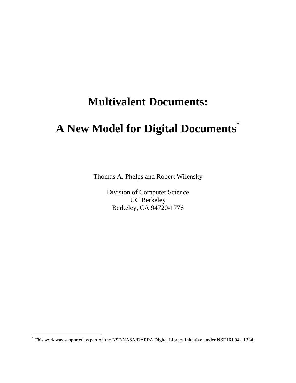# **Multivalent Documents:**

# **A New Model for Digital Documents\***

Thomas A. Phelps and Robert Wilensky

Division of Computer Science UC Berkeley Berkeley, CA 94720-1776

 \* This work was supported as part of the NSF/NASA/DARPA Digital Library Initiative, under NSF IRI 94-11334.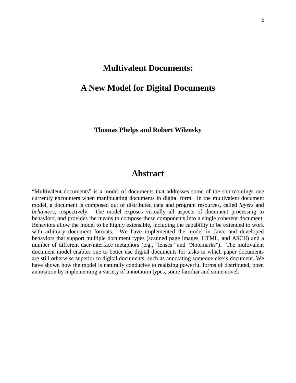# **Multivalent Documents:**

# **A New Model for Digital Documents**

**Thomas Phelps and Robert Wilensky**

# **Abstract**

"Multivalent documents" is a model of documents that addresses some of the shortcomings one currently encounters when manipulating documents in digital form. In the multivalent document model, a document is composed out of distributed data and program resources, called *layers* and *behaviors*, respectively. The model exposes virtually all aspects of document processing to behaviors, and provides the means to compose these components into a single coherent document. Behaviors allow the model to be highly extensible, including the capability to be extended to work with arbitrary document formats. We have implemented the model in Java, and developed behaviors that support multiple document types (scanned page images, HTML, and ASCII) and a number of different user-interface metaphors (e.g., "lenses" and "Notemarks"). The multivalent document model enables one to better use digital documents for tasks in which paper documents are still otherwise superior to digital documents, such as annotating someone else's document. We have shown how the model is naturally conducive to realizing powerful forms of distributed, open annotation by implementing a variety of annotation types, some familiar and some novel.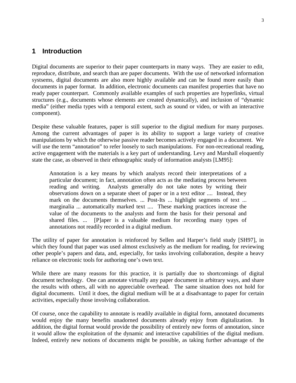# **1 Introduction**

Digital documents are superior to their paper counterparts in many ways. They are easier to edit, reproduce, distribute, and search than are paper documents. With the use of networked information systsems, digital documents are also more highly available and can be found more easily than documents in paper format. In addition, electronic documents can manifest properties that have no ready paper counterpart. Commonly available examples of such properties are hyperlinks, virtual structures (e.g., documents whose elements are created dynamically), and inclusion of "dynamic media" (either media types with a temporal extent, such as sound or video, or with an interactive component).

Despite these valuable features, paper is still superior to the digital medium for many purposes. Among the current advantages of paper is its ability to support a large variety of creative manipulations by which the otherwise passive reader becomes actively engaged in a document. We will use the term "annotation" to refer loosely to such manipulations. For non-recreational reading, active engagement with the materials is a key part of understanding. Levy and Marshall eloquently state the case, as observed in their ethnographic study of information analysts [LM95]:

Annotation is a key means by which analysts record their interpretations of a particular document; in fact, annotation often acts as the mediating process between reading and writing. Analysts generally do not take notes by writing their observations down on a separate sheet of paper or in a text editor .... Instead, they mark on the documents themselves. ... Post-Its ... highlight segments of text ... marginalia ... automatically marked text .... These marking practices increase the value of the documents to the analysts and form the basis for their personal and shared files. ... [P]aper is a valuable medium for recording many types of annotations not readily recorded in a digital medium.

The utility of paper for annotation is reinforced by Sellen and Harper's field study [SH97], in which they found that paper was used almost exclusively as the medium for reading, for reviewing other people's papers and data, and, especially, for tasks involving collaboration, despite a heavy reliance on electronic tools for authoring one's own text.

While there are many reasons for this practice, it is partially due to shortcomings of digital document technology. One can annotate virtually any paper document in arbitrary ways, and share the results with others, all with no appreciable overhead. The same situation does not hold for digital documents. Until it does, the digital medium will be at a disadvantage to paper for certain activities, especially those involving collaboration.

Of course, once the capability to annotate is readily available in digital form, annotated documents would enjoy the many benefits unadorned documents already enjoy from digitalization. In addition, the digital format would provide the possibility of entirely new forms of annotation, since it would allow the exploitation of the dynamic and interactive capabilities of the digital medium. Indeed, entirely new notions of documents might be possible, as taking further advantage of the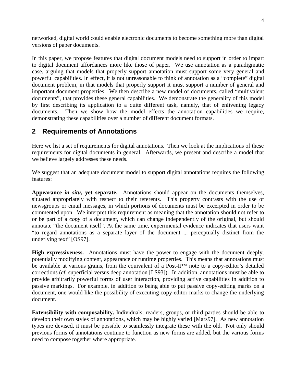networked, digital world could enable electronic documents to become something more than digital versions of paper documents.

In this paper, we propose features that digital document models need to support in order to impart to digital document affordances more like those of paper. We use annotation as a paradigmatic case, arguing that models that properly support annotation must support some very general and powerful capabilities. In effect, it is not unreasonable to think of annotation as a "complete" digital document problem, in that models that properly support it must support a number of general and important document properties. We then describe a new model of documents, called "multivalent documents", that provides these general capabilities. We demonstrate the generality of this model by first describing its application to a quite different task, namely, that of enlivening legacy documents. Then we show how the model effects the annotation capabilities we require, demonstrating these capabilities over a number of different document formats.

# **2 Requirements of Annotations**

Here we list a set of requirements for digital annotations. Then we look at the implications of these requirements for digital documents in general. Afterwards, we present and describe a model that we believe largely addresses these needs.

We suggest that an adequate document model to support digital annotations requires the following features:

**Appearance** *in situ***, yet separate.** Annotations should appear on the documents themselves, situated appropriately with respect to their referents. This property contrasts with the use of newsgroups or email messages, in which portions of documents must be excerpted in order to be commented upon. We interpret this requirement as meaning that the annotation should not refer to or be part of a *copy* of a document, which can change independently of the original, but should annotate "the document itself". At the same time, experimental evidence indicates that users want "to regard annotations as a separate layer of the document ... perceptually distinct from the underlying text" [OS97].

**High expressiveness.** Annotations must have the power to engage with the document deeply, potentially modifying content, appearance or runtime properties. This means that annotations must be available at various grains, from the equivalent of a Post-It™ note to a copy-editor's detailed corrections (*cf.* superficial versus deep annotation [LS93]). In addition, annotations must be able to provide arbitrarily powerful forms of user interaction, providing active capabilities in addition to passive markings. For example, in addition to being able to put passive copy-editing marks on a document, one would like the possibility of executing copy-editor marks to change the underlying document.

**Extensibility with composability.** Individuals, readers, groups, or third parties should be able to develop their own styles of annotations, which may be highly varied [Mars97]. As new annotation types are devised, it must be possible to seamlessly integrate these with the old. Not only should previous forms of annotations continue to function as new forms are added, but the various forms need to compose together where appropriate.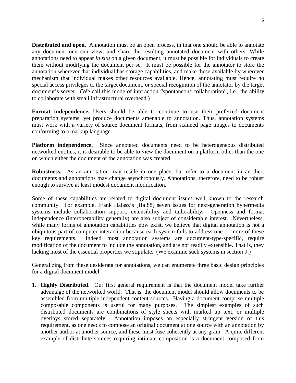**Distributed and open.** Annotation must be an open process, in that one should be able to annotate any document one can view, and share the resulting annotated document with others. While annotations need to appear *in situ* on a given document, it must be possible for individuals to create them without modifying the document per se. It must be possible for the annotator to store the annotation wherever that individual has storage capabilities, and make these available by wherever mechanism that individual makes other resources available. Hence, annotating must require no special access privileges to the target document, or special recognition of the annotator by the target document's server. (We call this mode of interaction "spontaneous collaboration", i.e., the ability to collaborate with small infrastructural overhead.)

**Format independence.** Users should be able to continue to use their preferred document preparation systems, yet produce documents amenable to annotation. Thus, annotation systems must work with a variety of source document formats, from scanned page images to documents conforming to a markup language.

**Platform independence.** Since annotated documents need to be heterogeneous distributed networked entities, it is desirable to be able to view the document on a platform other than the one on which either the document or the annotation was created.

**Robustness.** As an annotation may reside in one place, but refer to a document in another, documents and annotations may change asynchronously. Annotations, therefore, need to be robust enough to survive at least modest document modification.

Some of these capabilities are related to digital document issues well known to the research community. For example, Frank Halasz's [Hal88] seven issues for next-generation hypermedia systems include collaboration support, extensibility and tailorability. Openness and format independence (interoperability generally) are also subject of considerable interest. Nevertheless, while many forms of annotation capabilities now exist, we believe that digital annotation is not a ubiquitous part of computer interaction because each system fails to address one or more of these key requirements. Indeed, most annotation systems are document-type-specific, require modification of the document to include the annotation, and are not readily extensible. That is, they lacking most of the essential properties we stipulate. (We examine such systems in section 9.)

Generalizing from these desiderata for annotations, we can enumerate three basic design principles for a digital document model:

1. **Highly Distributed.** Our first general requirement is that the document model take further advantage of the networked world. That is, the document model should allow documents to be assembled from multiple independent content sources. Having a document comprise multiple composable components is useful for many purposes. The simplest examples of such distributed documents are combinations of style sheets with marked up text, or multiple overlays stored separately. Annotation imposes an especially stringent version of this requirement, as one needs to compose an original document at one source with an annotation by another author at another source, and these must fuse coherently at any grain. A quite different example of distribute sources requiring intimate composition is a document composed from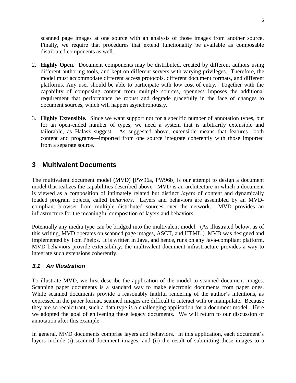scanned page images at one source with an analysis of those images from another source. Finally, we require that procedures that extend functionality be available as composable distributed components as well.

- 2. **Highly Open.** Document components may be distributed, created by different authors using different authoring tools, and kept on different servers with varying privileges. Therefore, the model must accommodate different access protocols, different document formats, and different platforms. Any user should be able to participate with low cost of entry. Together with the capability of composing content from multiple sources, openness imposes the additional requirement that performance be robust and degrade gracefully in the face of changes to document sources, which will happen asynchronously.
- 3. **Highly Extensible.** Since we want support not for a specific number of annotation types, but for an open-ended number of types, we need a system that is arbitrarily extensible and tailorable, as Halasz suggest. As suggested above, extensible means that features—both content and programs—imported from one source integrate coherently with those imported from a separate source.

# **3 Multivalent Documents**

The multivalent document model (MVD) [PW96a, PW96b] is our attempt to design a document model that realizes the capabilities described above. MVD is an architecture in which a document is viewed as a composition of intimately related but distinct *layers* of content and dynamically loaded program objects, called *behaviors*. Layers and behaviors are assembled by an MVDcompliant browser from multiple distributed sources over the network. MVD provides an infrastructure for the meaningful composition of layers and behaviors.

Potentially any media type can be bridged into the multivalent model. (As illustrated below, as of this writing, MVD operates on scanned page images, ASCII, and HTML.) MVD was designed and implemented by Tom Phelps. It is written in Java, and hence, runs on any Java-compliant platform. MVD behaviors provide extensibility; the multivalent document infrastructure provides a way to integrate such extensions coherently.

#### **3.1 An Illustration**

To illustrate MVD, we first describe the application of the model to scanned document images. Scanning paper documents is a standard way to make electronic documents from paper ones. While scanned documents provide a reasonably faithful rendering of the author's intentions, as expressed in the paper format, scanned images are difficult to interact with or manipulate. Because they are so recalcitrant, such a data type is a challenging application for a document model. Here we adopted the goal of enlivening these legacy documents. We will return to our discussion of annotation after this example.

In general, MVD documents comprise layers and behaviors. In this application, each document's layers include (i) scanned document images, and (ii) the result of submitting these images to a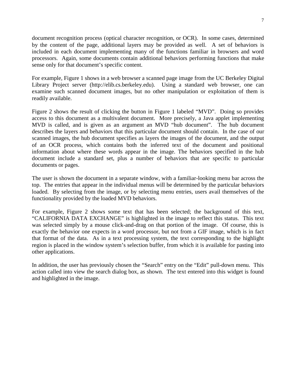document recognition process (optical character recognition, or OCR). In some cases, determined by the content of the page, additional layers may be provided as well. A set of behaviors is included in each document implementing many of the functions familiar in browsers and word processors. Again, some documents contain additional behaviors performing functions that make sense only for that document's specific content.

For example, Figure 1 shows in a web browser a scanned page image from the UC Berkeley Digital Library Project server (http://elib.cs.berkeley.edu). Using a standard web browser, one can examine such scanned document images, but no other manipulation or exploitation of them is readily available.

Figure 2 shows the result of clicking the button in Figure 1 labeled "MVD". Doing so provides access to this document as a multivalent document. More precisely, a Java applet implementing MVD is called, and is given as an argument an MVD "hub document". The hub document describes the layers and behaviors that this particular document should contain. In the case of our scanned images, the hub document specifies as layers the images of the document, and the output of an OCR process, which contains both the inferred text of the document and positional information about where these words appear in the image. The behaviors specified in the hub document include a standard set, plus a number of behaviors that are specific to particular documents or pages.

The user is shown the document in a separate window, with a familiar-looking menu bar across the top. The entries that appear in the individual menus will be determined by the particular behaviors loaded. By selecting from the image, or by selecting menu entries, users avail themselves of the functionality provided by the loaded MVD behaviors.

For example, Figure 2 shows some text that has been selected; the background of this text, "CALIFORNIA DATA EXCHANGE" is highlighted in the image to reflect this status. This text was selected simply by a mouse click-and-drag on that portion of the image. Of course, this is exactly the behavior one expects in a word processor, but not from a GIF image, which is in fact that format of the data. As in a text processing system, the text corresponding to the highlight region is placed in the window system's selection buffer, from which it is available for pasting into other applications.

In addition, the user has previously chosen the "Search" entry on the "Edit" pull-down menu. This action called into view the search dialog box, as shown. The text entered into this widget is found and highlighted in the image.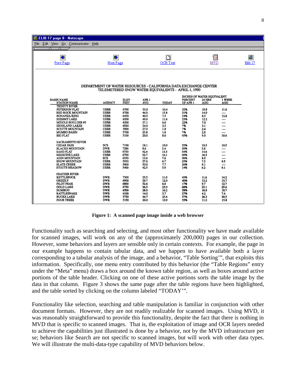|      | ELIB:17 page 8 - Netscape              |                                                                 |              |                  |              |                                                    |                                             |              |                         |
|------|----------------------------------------|-----------------------------------------------------------------|--------------|------------------|--------------|----------------------------------------------------|---------------------------------------------|--------------|-------------------------|
| File | Edit View Go Communicator<br>Help      |                                                                 |              |                  |              |                                                    |                                             |              |                         |
|      | Nummmer/Num/Nume/                      |                                                                 |              |                  |              |                                                    |                                             |              |                         |
|      | $\blacklozenge$                        | $\overline{\phantom{0}}$                                        |              |                  | D            |                                                    | 囩                                           |              | $\overline{\mathbb{C}}$ |
|      |                                        |                                                                 |              |                  |              |                                                    |                                             |              |                         |
|      | <b>Prev Page</b>                       | Next Page                                                       |              |                  | OCR Text     |                                                    | <b>MVD</b>                                  |              | Elib <sub>17</sub>      |
|      |                                        |                                                                 |              |                  |              |                                                    |                                             |              |                         |
|      |                                        |                                                                 |              |                  |              |                                                    |                                             |              |                         |
|      |                                        |                                                                 |              |                  |              |                                                    |                                             |              |                         |
|      |                                        | DEPARTMENT OF WATER RESOURCES - CALIFORNIA DATA EXCHANGE CENTER |              |                  |              | TELEMETERED SNOW WATER EQUIVALENTS - APRIL 1, 1990 |                                             |              |                         |
|      |                                        |                                                                 |              |                  |              |                                                    |                                             |              |                         |
|      | <b>BASIN NAME</b>                      |                                                                 | ELEV<br>FEET | APR <sub>1</sub> |              | PERCENT                                            | INCHES OF WATER EQUIVALENT<br><b>24 HRS</b> | 1 WEEK       |                         |
|      | <b>STATION NAME</b>                    | <b>AGENCY</b>                                                   |              | <b>AVG</b>       | <b>TODAY</b> | OF APR 1                                           | AGO                                         | AGO          |                         |
|      | <b>TRINITY RIVER</b><br>PETERSON FLAT  | <b>USBR</b>                                                     | 6700         | 33.0             | 10.4         | 32%                                                | 10.8                                        | 11.6         |                         |
|      | <b>RED ROCK MOUNTAIN</b>               | <b>USBR</b>                                                     | 6700         | 44.0             | 13.8         | 31%                                                | 14.0                                        |              |                         |
|      | <b>BONANZA KING</b>                    | <b>USBR</b>                                                     | 6450         | 40.5             | 7.5          | 19%                                                | 8.5                                         | 12.8         |                         |
|      | <b>SHIMMY LAKE</b>                     | <b>USBR</b>                                                     | 6200         | 49.9             | 11.6         | 23%                                                | 12.2                                        |              |                         |
|      | MIDDLE BOULDER #3                      | <b>USBR</b>                                                     | 6200         | 27.1             | 6.0          | 22%                                                | 7.0                                         | ----         |                         |
|      | <b>HIGHLAND LAKES</b>                  | <b>USBR</b>                                                     | 6030         | 34.0             | 2.5          | 7%                                                 | 3.1                                         | ----         |                         |
|      | <b>SCOTTS MOUNTAIN</b>                 | <b>USBR</b>                                                     | 5900         | 27.0             | 1.9          | 7%                                                 | 2.6                                         | ----         |                         |
|      | <b>MUMBO BASIN</b>                     | <b>USBR</b>                                                     | 5700         | 25.8             | 1.8          | 7%                                                 | 2.8                                         | ----         |                         |
|      | <b>BIG FLAT</b>                        | <b>USBR</b>                                                     | 5100         | 20.0             | 8.6          | 43%                                                | 9.0                                         | 10.6         |                         |
|      | <b>SACRAMENTO RIVER</b>                |                                                                 |              |                  |              |                                                    |                                             |              |                         |
|      | <b>CEDAR PASS</b>                      | SCS                                                             | 7100         | 18.1             | 10.0         | 55%                                                | 10.3                                        | 10.5         |                         |
|      | <b>BLACKS MOUNTAIN</b>                 | <b>DWR</b>                                                      | 7286         | 8.6              | 3.4          | 39%                                                | 3.8                                         |              |                         |
|      | <b>SAND FLAT</b>                       | <b>USBR</b>                                                     | 6750         | 42.4             | 14.3         | 34%                                                | 14.6                                        |              |                         |
|      | <b>MEDICINE LAKE</b>                   | <b>USBR</b>                                                     | 6700         | 32.7             | 16.1         | 49%                                                | 16.3                                        | ----         |                         |
|      | <b>ADIN MOUNTAIN</b>                   | SCS                                                             | 6350         | 13.6             | 7.6          | 56%                                                | 8.0                                         | ----         |                         |
|      | SNOW MOUNTAIN                          | <b>USBR</b>                                                     | 5950         | 27.0             | 6.7          | 25%                                                | 7.3                                         | 9.5          |                         |
|      | <b>SLATE CREEK</b><br>STOUTS MEADOW    | <b>USBR</b><br><b>USBR</b>                                      | 5600<br>5400 | 30.0<br>42.5     | 7.7<br>5.9   | 26%<br>14%                                         | 9.1<br>6.2                                  | ----<br>9.1  |                         |
|      | <b>FEATHER RIVER</b>                   |                                                                 |              |                  |              |                                                    |                                             |              |                         |
|      | <b>KETTLEROCK</b>                      | <b>DWR</b>                                                      | 7300         | 25.5             | 11.0         | 43%                                                | 11.6                                        | 14.2         |                         |
|      | <b>GRIZZLY</b>                         | <b>DWR</b>                                                      | 6900         | 29.7             | 12.0         | 40%                                                | 12.2                                        | 13.7         |                         |
|      | PILOT PEAK                             | <b>DWR</b>                                                      | 6800         | 52.6             | 8.8          | 17%                                                | 9.7                                         | 12.7         |                         |
|      | <b>GOLD LAKE</b>                       | <b>DWR</b>                                                      | 6750         | 36.5             | 25.0         | 68%                                                | 25.1                                        | 25.6         |                         |
|      | <b>HUMBUG</b>                          | <b>DWR</b>                                                      | 6500         | 28.0             | 16.2         | 58%                                                | 16.8                                        | 18.7         |                         |
|      |                                        | <b>DWR</b>                                                      | 6100         | 14.0             | 3.7          | 27%                                                | 4.2                                         | 7.4          |                         |
|      | RATTLESNAKE                            |                                                                 |              |                  |              |                                                    |                                             |              |                         |
|      | <b>BUCKS LAKE</b><br><b>FOUR TREES</b> | DWR<br><b>DWR</b>                                               | 5750<br>5150 | 44.7             | 25.6         | 57%                                                | 26.3                                        | 30.5<br>15.8 |                         |

**Figure 1: A scanned page image inside a web browser**

Functionality such as searching and selecting, and most other functionality we have made available for scanned images, will work on any of the (approximately 200,000) pages in our collection. However, some behaviors and layers are sensible only in certain contexts. For example, the page in our example happens to contain tabular data, and we happen to have available both a layer corresponding to a tabular analysis of the image, and a behavior, "Table Sorting'", that exploits this information. Specifically, one menu entry contributed by this behavior (the "Table Regions" entry under the "Meta" menu) draws a box around the known table region, as well as boxes around active portions of the table header. Clicking on one of these active portions sorts the table image by the data in that column. Figure 3 shows the same page after the table regions have been highlighted, and the table sorted by clicking on the column labeled "TODAY'".

Functionality like selection, searching and table manipulation is familiar in conjunction with other document formats. However, they are not readily realizable for scanned images. Using MVD, it was reasonably straightforward to provide this functionality, despite the fact that there is nothing in MVD that is specific to scanned images. That is, the exploitation of image and OCR layers needed to achieve the capabilities just illustrated is done by a behavior, not by the MVD infrastructure per se; behaviors like Search are not specific to scanned images, but will work with other data types. We will illustrate the multi-data-type capability of MVD behaviors below.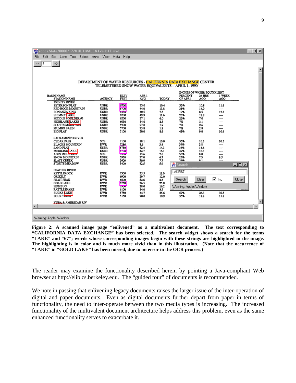| /docs/data/0000/17/MULTIVALENT/elib17.mvd<br>Š.          |                                                                 |                      |                  |              |                                                    |               |               |                  | $ \Box$ $\times$      |
|----------------------------------------------------------|-----------------------------------------------------------------|----------------------|------------------|--------------|----------------------------------------------------|---------------|---------------|------------------|-----------------------|
| Edit<br>Go Lens Tool Select Anno View Meta Help<br>File: |                                                                 |                      |                  |              |                                                    |               |               |                  |                       |
| <= ∥8<br>$\Rightarrow$                                   |                                                                 |                      |                  |              |                                                    |               |               |                  |                       |
|                                                          |                                                                 |                      |                  |              |                                                    |               |               |                  |                       |
|                                                          |                                                                 |                      |                  |              |                                                    |               |               |                  |                       |
|                                                          |                                                                 |                      |                  |              |                                                    |               |               |                  |                       |
|                                                          | DEPARTMENT OF WATER RESOURCES - CALIFORNIA DATA EXCHANGE CENTER |                      |                  |              | TELEMETERED SNOW WATER EQUIVALENTS - APRIL 1, 1990 |               |               |                  |                       |
|                                                          |                                                                 |                      |                  |              |                                                    |               |               |                  |                       |
| <b>BASIN NAME</b>                                        |                                                                 |                      | APR <sub>1</sub> |              | <b>INCHES OF WATER EQUIVALENT</b><br>PERCENT       | <b>24 HRS</b> | 1 WEEK        |                  |                       |
| <b>STATION NAME</b>                                      | <b>AGENCY</b>                                                   | <b>ELEV<br/>FEET</b> | AVG              | <b>TODAY</b> | OF APR 1                                           | AGO           | <b>AGO</b>    |                  |                       |
| <b>TRINITY RIVER</b><br>PETERSON FLAT                    | <b>USBR</b>                                                     | 6700                 | 33.0             | 10.4         | 32%                                                | 10.8          | 11.6          |                  |                       |
| <b>RED ROCK MOUNTAIN</b>                                 | <b>USBR</b>                                                     | <b>0700</b>          | 44.0             | 13.8         | 31%                                                | 14.0          |               |                  |                       |
| <b>BONANZA KING</b>                                      | <b>USBR</b>                                                     | 0430                 | 40.5             | 7.5          | 19%                                                | 8.5           | 12.8          |                  |                       |
| SHIMMY LAKE<br>MIDDLE <b>BOULDER</b> #3                  | <b>USBR</b><br><b>USBR</b>                                      | 6200<br>6200         | 49.9<br>27.1     | 11.6<br>6.0  | 23%<br>22%                                         | 12.2<br>7.0   | <br>----      |                  |                       |
| <b>HIGHLAND LAKES</b>                                    | <b>USBR</b>                                                     | 6030                 | 34.0             | 2.5          | 7%                                                 | 3.1           | ----          |                  |                       |
| <b>SCOTTS MOUNTAIN</b><br><b>MUMBO BASIN</b>             | <b>USBR</b><br><b>USBR</b>                                      | 5900<br>5700         | 27.0<br>25.8     | 1.9<br>1.8   | 7%<br>7%                                           | 2.6<br>2.8    | ----<br>----  |                  |                       |
| <b>BIG FLAT</b>                                          | <b>USBR</b>                                                     | 5100                 | 20.0             | 8.6          | 43%                                                | 9.0           | 10.6          |                  |                       |
| <b>SACRAMENTO RIVER</b>                                  |                                                                 |                      |                  |              |                                                    |               |               |                  |                       |
| <b>CEDAR PASS</b>                                        | <b>SCS</b>                                                      | 7100                 | 18.1             | 10.0         | 55%                                                | 10.3          | 10.5          |                  |                       |
| <b>BLACKS MOUNTAIN</b>                                   | <b>DWR</b>                                                      | 7286                 | 8.6              | 3.4          | 39%                                                | 3.8           | ----          |                  |                       |
| <b>SAND FLAT</b><br>MEDICINE LAKE                        | <b>USBR</b><br><b>USBR</b>                                      | 6750<br><b>p700</b>  | 42.4<br>32.7     | 14.3<br>16.1 | 34%<br>49%                                         | 14.6<br>16.3  | <br>          |                  |                       |
| <b>ADIN MOUNTAIN</b>                                     | SCS                                                             | 6330                 | 13.6             | 7.6          | 56%                                                | 8.0           | ----          |                  |                       |
| SNOW MOUNTAIN<br><b>SLATE CREEK</b>                      | <b>USBR</b><br><b>USBR</b>                                      | 5950<br>5600         | 27.0<br>30.0     | 6.7<br>7.7   | 25%<br>26%                                         | 7.3<br>9.1    | 9.5<br>       |                  |                       |
| STOUTS MEADOW                                            | <b>USBR</b>                                                     | 5400                 | 42.5             | 5.9          | Search                                             |               |               | $ \Box$ $\times$ |                       |
| <b>FEATHER RIVER</b>                                     |                                                                 |                      |                  |              |                                                    |               |               |                  |                       |
| <b>KETTLEROCK</b>                                        | <b>DWR</b>                                                      | 7300                 | 25.5             | 11.0         | LAKEI67                                            |               |               |                  |                       |
| <b>GRIZZLY</b><br>PILOT PEAK                             | <b>DWR</b><br><b>DWR</b>                                        | 6900                 | 29.7             | 12.0         | Search                                             | Clear         | $\nabla$ Inc. | Close:           |                       |
| <b>GOLD LAKE</b>                                         | <b>DWR</b>                                                      | 6800<br>6750         | 52.6<br>36.5     | 8.8<br>25.0  |                                                    |               |               |                  |                       |
| <b>HUMBUG</b>                                            | <b>DWR</b>                                                      | OJUU                 | 28.0             | 16.2         | Warning: Applet Window                             |               |               |                  |                       |
| <b>RATTLESNAKE</b><br><b>BUCKS LAKE</b>                  | <b>DWR</b><br><b>DWR</b>                                        | 6100<br>5750         | 14.0<br>44.7     | 3.7<br>25.6  | 57%                                                | 26.3          | 30.5          |                  |                       |
| <b>FOUR TREES</b>                                        | <b>DWR</b>                                                      | 5150                 | 20.0             | 10.9         | 55%                                                | 11.2          | 15.8          |                  |                       |
| YUBA & AMERICAN RIV                                      |                                                                 |                      |                  |              |                                                    |               |               |                  |                       |
| $\blacksquare$                                           |                                                                 |                      |                  |              |                                                    |               |               |                  | $\blacktriangleright$ |
|                                                          |                                                                 |                      |                  |              |                                                    |               |               |                  |                       |
| Warning: Annlet Window                                   |                                                                 |                      |                  |              |                                                    |               |               |                  |                       |

**Figure 2: A scanned image page "enlivened" as a multivalent document. The text corresponding to "CALIFORNIA DATA EXCHANGE" has been selected. The search widget shows a search for the terms "LAKE" and "67"; words whose corresponding images begin with these strings are highlighted in the image. The highlighting is in color and is much more vivid than in this illustration. (Note that the occurrence of "LAKE" in "GOLD LAKE" has been missed, due to an error in the OCR process.)**

The reader may examine the functionality described herein by pointing a Java-compliant Web browser at http://elib.cs.berkeley.edu. The "guided tour" of documents is recommended.

We note in passing that enlivening legacy documents raises the larger issue of the inter-operation of digital and paper documents. Even as digital documents further depart from paper in terms of functionality, the need to inter-operate between the two media types is increasing. The increased functionality of the multivalent document architecture helps address this problem, even as the same enhanced functionality serves to exacerbate it.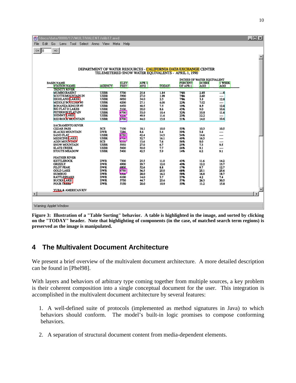|                            | /docs/data/0000/17/MULTIVALENT/elib17.mvd          |                                                                 |                     |              |              |                            |               |              | $ \Box$ $\times$ $\Box$ |
|----------------------------|----------------------------------------------------|-----------------------------------------------------------------|---------------------|--------------|--------------|----------------------------|---------------|--------------|-------------------------|
| Edit Go<br>File:           | Lens Tool Select Anno View                         |                                                                 | Meta Help           |              |              |                            |               |              |                         |
| $\leq$ 18<br>$\Rightarrow$ |                                                    |                                                                 |                     |              |              |                            |               |              |                         |
|                            |                                                    |                                                                 |                     |              |              |                            |               |              |                         |
|                            |                                                    |                                                                 |                     |              |              |                            |               |              |                         |
|                            |                                                    |                                                                 |                     |              |              |                            |               |              |                         |
|                            |                                                    | DEPARTMENT OF WATER RESOURCES - CALIFORNIA DATA EXCHANGE CENTER |                     |              |              |                            |               |              |                         |
|                            |                                                    | TELEMETERED SNOW WATER EQUIVALENTS - APRIL 1, 1990              |                     |              |              |                            |               |              |                         |
|                            |                                                    |                                                                 |                     |              |              | INCHES OF WATER EOUTVALENT |               |              |                         |
| <b>BASIN NAME</b>          |                                                    |                                                                 | <b>ELEV</b><br>FEET | APR 1<br>AVG |              | <b>PERCENT</b>             | <b>24 HRS</b> | 1 WEEK       |                         |
|                            | <b>STATION NAME</b><br><b>TRINITY RIVER</b>        | <b>AGENCY</b>                                                   |                     |              | <b>TODAY</b> | OF APR 1                   | <b>AGO</b>    | <b>AGO</b>   |                         |
|                            | <b>MUMBO BASINT</b>                                | <b>USBR</b>                                                     | 5700                | 25.8         | 1.84         | 7%%                        | 2.88          | $-6$         |                         |
|                            | <b>SCOTTSMOUNTAIN IN</b><br><b>HIGHLAND LAKES</b>  | <b>USBR</b><br><b>USBR</b>                                      | 5900<br>6030        | 27.0<br>34.0 | 1.98<br>2.5  | 796<br>7%6                 | 2.60<br>3.5   | ----<br>12.8 |                         |
|                            | MIDDLE BOULDER #3                                  | <b>USBR</b>                                                     | 6200                | 27.1         | 6.06         | 22%                        | 7.02          | ----         |                         |
|                            | <b>BONANZA KINGER#3</b><br><b>BIG FLAT D LAKES</b> | <b>USBR</b><br><b>USBR</b>                                      | 6450<br>5100        | 40.5<br>20.0 | 7.5<br>8.6   | 19%<br>43%                 | 8.5<br>9.0    | 12.8<br>10.6 |                         |
|                            | <b>PETERSON FLAT\IN</b>                            | <b>USBR</b>                                                     | 6700                | 33.0         | 10.4         | 32%                        | 10.8          | 11.6         |                         |
|                            | <b>SHIMMY LAKE</b><br><b>REDIROCK MOUNTAIN</b>     | <b>USBR</b><br><b>USBR</b>                                      | bzuu<br>6700        | 49.9         | 11.6<br>13.8 | 23%<br>31%                 | 12.2          | ----<br>10.6 |                         |
|                            |                                                    |                                                                 |                     | 44.0         |              |                            | 14.0          |              |                         |
|                            | <b>SACRAMENTO RIVER</b><br><b>CEDAR PASS</b>       | SCS                                                             | 7100                | 18.1         | 10.0         | 55%                        | 10.3          | 10.5         |                         |
|                            | <b>BLACKS MOUNTAIN</b>                             | <b>DWR</b>                                                      | 7286                | 8.6          | 3.4          | 39%                        | 3.8           | ----         |                         |
|                            | <b>SAND FLAT</b>                                   | <b>USBR</b>                                                     | 6750                | 42.4         | 14.3         | 34%                        | 14.6          | ----         |                         |
|                            | <b>MEDICINE</b> LAKE<br><b>ADIN MOUNTAIN</b>       | <b>USBR</b><br>SCS                                              | <b>D7UU</b><br>0330 | 32.7<br>13.6 | 16.1<br>7.6  | 49%<br>56%                 | 16.3<br>8.0   | <br>----     |                         |
|                            | SNOW MOUNTAIN                                      | <b>USBR</b>                                                     | 5950                | 27.0         | 6.7          | 25%                        | 7.3           | 9.5          |                         |
|                            | <b>SLATE CREEK</b><br>STOUTS MEADOW                | <b>USBR</b><br>USBR                                             | 5600<br>5400        | 30.0<br>42.5 | 7.7<br>5.9   | 26%<br>14%                 | 9.1<br>6.2    | ----<br>9.1  |                         |
|                            |                                                    |                                                                 |                     |              |              |                            |               |              |                         |
|                            | <b>FEATHER RIVER</b><br><b>KETTLEROCK</b>          | <b>DWR</b>                                                      | 7300                | 25.5         | 11.0         | 43%                        | 11.6          | 14.2         |                         |
|                            | <b>GRIZZLY</b>                                     | <b>DWR</b>                                                      | 6900                | 29.7         | 12.0         | 40%                        | 12.2          | 13.7         |                         |
|                            | PILOT PEAK<br><b>GOLD LAKE</b>                     | <b>DWR</b><br><b>DWR</b>                                        | 6800<br>6750        | 52.6<br>36.5 | 8.8<br>25.0  | 17%<br>68%                 | 9.7<br>25.1   | 12.7<br>25.6 |                         |
|                            | <b>HUMBUG</b>                                      | <b>DWR</b>                                                      | opuu                | 28.0         | 16.2         | 58%                        | 16.8          | 18.7         |                         |
|                            | <b>RATTLESNAKE</b><br><b>BUCKS</b> LAKE            | <b>DWR</b><br>DWR                                               | 6100<br>5750        | 14.0<br>44.7 | 3.7<br>25.6  | 27%<br>57%                 | 4.2<br>26.3   | 7.4<br>30.5  |                         |
|                            | <b>FOUR TREES</b>                                  | <b>DWR</b>                                                      | 5150                | 20.0         | 10.9         | 55%                        | 11.2          | 15.8         |                         |
|                            | YUBA & AMERICAN RIV                                |                                                                 |                     |              |              |                            |               |              |                         |
| $\left  \cdot \right $     |                                                    |                                                                 |                     |              |              |                            |               |              | $\blacktriangleright$   |
|                            |                                                    |                                                                 |                     |              |              |                            |               |              |                         |
| Warning: Applet Window     |                                                    |                                                                 |                     |              |              |                            |               |              |                         |
|                            |                                                    |                                                                 |                     |              |              |                            |               |              |                         |

**Figure 3: Illustration of a "Table Sorting" behavior. A table is highlighted in the image, and sorted by clicking on the "TODAY" header. Note that highlighting of components (in the case, of matched search term regions) is preserved as the image is manipulated.**

# **4 The Multivalent Document Architecture**

We present a brief overview of the multivalent document architecture. A more detailed description can be found in [Phel98].

With layers and behaviors of arbitrary type coming together from multiple sources, a key problem is their coherent composition into a single conceptual document for the user. This integration is accomplished in the multivalent document architecture by several features:

1. A well-defined suite of protocols (implemented as method signatures in Java) to which behaviors should conform. The model's built-in logic promises to compose conforming behaviors.

2. A separation of structural document content from media-dependent elements.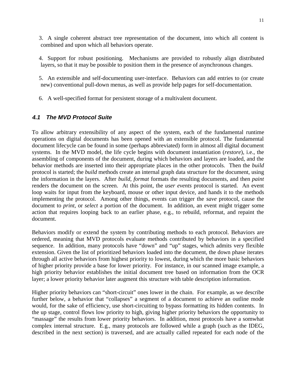3. A single coherent abstract tree representation of the document, into which all content is combined and upon which all behaviors operate.

4. Support for robust positioning. Mechanisms are provided to robustly align distributed layers, so that it may be possible to position them in the presence of asynchronous changes.

5. An extensible and self-documenting user-interface. Behaviors can add entries to (or create new) conventional pull-down menus, as well as provide help pages for self-documentation.

6. A well-specified format for persistent storage of a multivalent document.

#### **4.1 The MVD Protocol Suite**

To allow arbitrary extensibility of any aspect of the system, each of the fundamental runtime operations on digital documents has been opened with an extensible protocol. The fundamental document lifecycle can be found in some (perhaps abbreviated) form in almost all digital document systems. In the MVD model, the life cycle begins with document instantiation (*restore*), i.e., the assembling of components of the document, during which behaviors and layers are loaded, and the behavior methods are inserted into their appropriate places in the other protocols. Then the *build* protocol is started; the *build* methods create an internal graph data structure for the document, using the information in the layers. After *build*, *format* formats the resulting documents, and then *paint* renders the document on the screen. At this point, the *user events* protocol is started. An event loop waits for input from the keyboard, mouse or other input device, and hands it to the methods implementing the protocol. Among other things, events can trigger the *save* protocol, cause the document to *print*, or *select* a portion of the document. In addition, an event might trigger some action that requires looping back to an earlier phase, e.g., to rebuild, reformat, and repaint the document.

Behaviors modify or extend the system by contributing methods to each protocol. Behaviors are ordered, meaning that MVD protocols evaluate methods contributed by behaviors in a specified sequence. In addition, many protocols have "down" and "up" stages, which admits very flexible extension. Given the list of prioritized behaviors loaded into the document, the down phase iterates through all active behaviors from highest priority to lowest, during which the more basic behaviors of higher priority provide a base for lower priority. For instance, in our scanned image example, a high priority behavior establishes the initial document tree based on information from the OCR layer; a lower priority behavior later augment this structure with table description information.

Higher priority behaviors can "short-circuit" ones lower in the chain. For example, as we describe further below, a behavior that "collapses" a segment of a document to achieve an outline mode would, for the sake of efficiency, use short-circuiting to bypass formatting its hidden contents. In the up stage, control flows low priority to high, giving higher priority behaviors the opportunity to "massage" the results from lower priority behaviors. In addition, most protocols have a somwhat complex internal structure. E.g., many protocols are followed while a graph (such as the IDEG, described in the next section) is traversed, and are actually called repeated for each node of the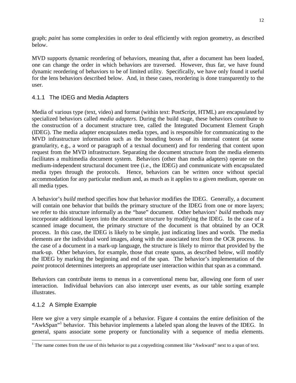graph; *paint* has some complexities in order to deal efficiently with region geometry, as described below.

MVD supports dynamic reordering of behaviors, meaning that, after a document has been loaded, one can change the order in which behaviors are traversed. However, thus far, we have found dynamic reordering of behaviors to be of limited utility. Specifically, we have only found it useful for the lens behaviors described below. And, in these cases, reordering is done transparently to the user.

#### 4.1.1 The IDEG and Media Adapters

Media of various type (text, video) and format (within text: PostScript, HTML) are encapsulated by specialized behaviors called *media adapters*. During the build stage, these behaviors contribute to the construction of a document structure tree, called the Integrated Document Element Graph (IDEG). The media adapter encapsulates media types, and is responsible for communicating to the MVD infrastructure information such as the bounding boxes of its internal content (at some granularity, e.g., a word or paragraph of a textual document) and for rendering that content upon request from the MVD infrastructure. Separating the document structure from the media elements facilitates a multimedia document system. Behaviors (other than media adapters) operate on the medium-independent structural document tree (i.e., the IDEG) and communicate with encapsulated media types through the protocols. Hence, behaviors can be written once without special accommodation for any particular medium and, as much as it applies to a given medium, operate on all media types.

A behavior's *build* method specifies how that behavior modifies the IDEG. Generally, a document will contain one behavior that builds the primary structure of the IDEG from one or more layers; we refer to this structure informally as the "base" document. Other behaviors' *build* methods may incorporate additional layers into the document structure by modifying the IDEG. In the case of a scanned image document, the primary structure of the document is that obtained by an OCR process. In this case, the IDEG is likely to be simple, just indicating lines and words. The media elements are the individual word images, along with the associated text from the OCR process. In the case of a document in a mark-up language, the structure is likely to mirror that provided by the mark-up. Other behaviors, for example, those that create spans, as described below, will modify the IDEG by marking the beginning and end of the span. The behavior's implementation of the *paint* protocol determines interprets an appropriate user interaction within that span as a command.

Behaviors can contribute items to menus in a conventional menu bar, allowing one form of user interaction. Individual behaviors can also intercept user events, as our table sorting example illustrates.

#### 4.1.2 A Simple Example

 $\overline{a}$ 

Here we give a very simple example of a behavior. Figure 4 contains the entire definition of the "AwkSpan"<sup>1</sup> behavior. This behavior implements a labeled span along the leaves of the IDEG. In general, spans associate some property or functionality with a sequence of media elements.

<sup>&</sup>lt;sup>1</sup> The name comes from the use of this behavior to put a copyediting comment like "Awkward" next to a span of text.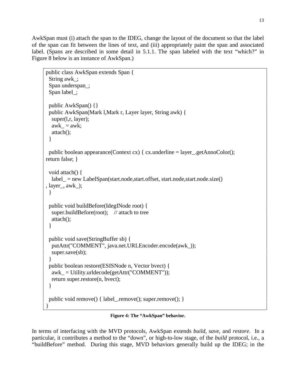AwkSpan must (i) attach the span to the IDEG, change the layout of the document so that the label of the span can fit between the lines of text, and (iii) appropriately paint the span and associated label. (Spans are described in some detail in 5.1.1. The span labeled with the text "which?" in Figure 8 below is an instance of AwkSpan.)

```
public class AwkSpan extends Span {
  String awk_;
  Span underspan_;
  Span label_;
  public AwkSpan() {}
  public AwkSpan(Mark l,Mark r, Layer layer, String awk) {
  super(l,r, layer);
  awk = awk;
   attach();
  }
 public boolean appearance(Context cx) { cx.underline = layer_.getAnnoColor();
return false; }
  void attach() {
   label_ = new LabelSpan(start.node,start.offset, start.node,start.node.size()
, layer_, awk_);
  }
  public void buildBefore(IdegINode root) {
  super.buildBefore(root); \frac{1}{2} attach to tree
   attach();
  }
  public void save(StringBuffer sb) {
   putAttr("COMMENT", java.net.URLEncoder.encode(awk_));
  super.save(sb);
  }
  public boolean restore(ESISNode n, Vector bvect) {
  awk = Utility.urldecode(getAttr("COMMENT"));
   return super.restore(n, bvect);
  }
  public void remove() { label_.remove(); super.remove(); }
}
```
**Figure 4: The "AwkSpan" behavior.**

In terms of interfacing with the MVD protocols, AwkSpan extends *build*, *save*, and *restore*. In a particular, it contributes a method to the "down", or high-to-low stage, of the *build* protocol, i.e., a "buildBefore" method. During this stage, MVD behaviors generally build up the IDEG; in the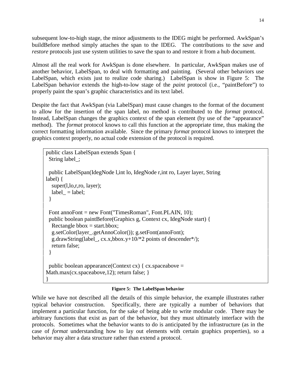subsequent low-to-high stage, the minor adjustments to the IDEG might be performed. AwkSpan's buildBefore method simply attaches the span to the IDEG. The contributions to the *save* and *restore* protocols just use system utilities to save the span to and restore it from a hub document.

Almost all the real work for AwkSpan is done elsewhere. In particular, AwkSpan makes use of another behavior, LabelSpan, to deal with formatting and painting. (Several other behaviors use LabelSpan, which exists just to realize code sharing.) LabelSpan is show in Figure 5: The LabelSpan behavior extends the high-to-low stage of the *paint* protocol (i.e., "paintBefore") to properly paint the span's graphic characteristics and its text label.

Despite the fact that AwkSpan (via LabelSpan) must cause changes to the format of the document to allow for the insertion of the span label, no method is contributed to the *format* protocol. Instead, LabelSpan changes the graphics context of the span element (by use of the "appearance" method). The *format* protocol knows to call this function at the appropriate time, thus making the correct formatting information available. Since the primary *format* protocol knows to interpret the graphics context properly, no actual code extension of the protocol is required.

```
public class LabelSpan extends Span {
  String label_;
  public LabelSpan(IdegNode l,int lo, IdegNode r,int ro, Layer layer, String
label) {
  super(l,lo,r,ro, layer);
  label_ = label;
  }
  Font annoFont = new Font("TimesRoman", Font.PLAIN, 10);
  public boolean paintBefore(Graphics g, Context cx, IdegNode start) {
  Rectangle bbox = start.bbox;
   g.setColor(layer_.getAnnoColor()); g.setFont(annoFont);
   g.drawString(label_, cx.x,bbox.y+10/*2 points of descender*/);
   return false;
  }
 public boolean appearance(Context cx) { cx. spaceabove =
Math.max(cx.spaceabove,12); return false; }
}
```
#### **Figure 5: The LabelSpan behavior**

While we have not described all the details of this simple behavior, the example illustrates rather typical behavior construction. Specifically, there are typically a number of behaviors that implement a particular function, for the sake of being able to write modular code. There may be arbitrary functions that exist as part of the behavior, but they must ultimately interface with the protocols. Sometimes what the behavior wants to do is anticipated by the infrastructure (as in the case of *format* understanding how to lay out elements with certain graphics properties), so a behavior may alter a data structure rather than extend a protocol.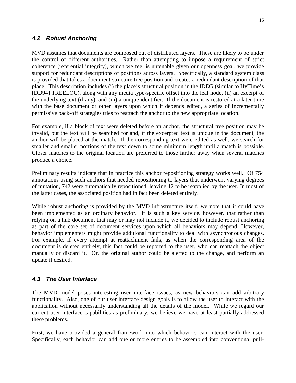#### **4.2 Robust Anchoring**

MVD assumes that documents are composed out of distributed layers. These are likely to be under the control of different authorities. Rather than attempting to impose a requirement of strict coherence (referential integrity), which we feel is untenable given our openness goal, we provide support for redundant descriptions of positions across layers. Specifically, a standard system class is provided that takes a document structure tree position and creates a redundant description of that place. This description includes (i) the place's structural position in the IDEG (similar to HyTime's [DD94] TREELOC), along with any media type-specific offset into the leaf node, (ii) an excerpt of the underlying text (if any), and (iii) a unique identifier. If the document is restored at a later time with the base document or other layers upon which it depends edited, a series of incrementally permissive back-off strategies tries to reattach the anchor to the new appropriate location.

For example, if a block of text were deleted before an anchor, the structural tree position may be invalid, but the text will be searched for and, if the excerpted text is unique in the document, the anchor will be placed at the match. If the corresponding text were edited as well, we search for smaller and smaller portions of the text down to some minimum length until a match is possible. Closer matches to the original location are preferred to those farther away when several matches produce a choice.

Preliminary results indicate that in practice this anchor repositioning strategy works well. Of 754 annotations using such anchors that needed repositioning to layers that underwent varying degrees of mutation, 742 were automatically repositioned, leaving 12 to be reapplied by the user. In most of the latter cases, the associated position had in fact been deleted entirely.

While robust anchoring is provided by the MVD infrastructure itself, we note that it could have been implemented as an ordinary behavior. It is such a key service, however, that rather than relying on a hub document that may or may not include it, we decided to include robust anchoring as part of the core set of document services upon which all behaviors may depend. However, behavior implementers might provide additional functionality to deal with asynchronous changes. For example, if every attempt at reattachment fails, as when the corresponding area of the document is deleted entirely, this fact could be reported to the user, who can reattach the object manually or discard it. Or, the original author could be alerted to the change, and perform an update if desired.

#### **4.3 The User Interface**

The MVD model poses interesting user interface issues, as new behaviors can add arbitrary functionality. Also, one of our user interface design goals is to allow the user to interact with the application without necessarily understanding all the details of the model. While we regard our current user interface capabilities as preliminary, we believe we have at least partially addressed these problems.

First, we have provided a general framework into which behaviors can interact with the user. Specifically, each behavior can add one or more entries to be assembled into conventional pull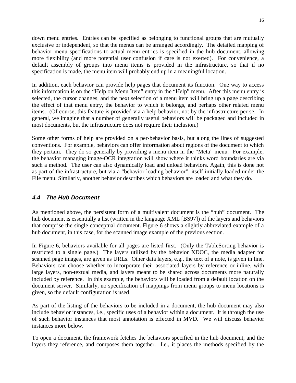down menu entries. Entries can be specified as belonging to functional groups that are mutually exclusive or independent, so that the menus can be arranged accordingly. The detailed mapping of behavior menu specifications to actual menu entries is specified in the hub document, allowing more flexibility (and more potential user confusion if care is not exerted). For convenience, a default assembly of groups into menu items is provided in the infrastructure, so that if no specification is made, the menu item will probably end up in a meaningful location.

In addition, each behavior can provide help pages that document its function. One way to access this information is on the "Help on Menu Item" entry in the "Help" menu. After this menu entry is selected, the cursor changes, and the next selection of a menu item will bring up a page describing the effect of that menu entry, the behavior to which it belongs, and perhaps other related menu items. (Of course, this feature is provided via a help behavior, not by the infrastructure per se. In general, we imagine that a number of generally useful behaviors will be packaged and included in most documents, but the infrastructure does not require their inclusion.)

Some other forms of help are provided on a per-behavior basis, but along the lines of suggested conventions. For example, behaviors can offer information about regions of the document to which they pertain. They do so generally by providing a menu item in the "Meta" menu. For example, the behavior managing image-OCR integration will show where it thinks word boundaries are via such a method. The user can also dynamically load and unload behaviors. Again, this is done not as part of the infrastructure, but via a "behavior loading behavior", itself initially loaded under the File menu. Similarly, another behavior describes which behaviors are loaded and what they do.

#### **4.4 The Hub Document**

As mentioned above, the persistent form of a multivalent document is the "hub" document. The hub document is essentially a list (written in the language XML [BS97]) of the layers and behaviors that comprise the single conceptual document. Figure 6 shows a slightly abbreviated example of a hub document, in this case, for the scanned image example of the previous section.

In Figure 6, behaviors available for all pages are listed first. (Only the TableSorting behavior is restricted to a single page.) The layers utilized by the behavior XDOC, the media adapter for scanned page images, are given as URLs. Other data layers, e.g., the text of a note, is given in line. Behaviors can choose whether to incorporate their associated layers by reference or inline, with large layers, non-textual media, and layers meant to be shared across documents more naturally included by reference. In this example, the behaviors will be loaded from a default location on the document server. Similarly, no specification of mappings from menu groups to menu locations is given, so the default configuration is used.

As part of the listing of the behaviors to be included in a document, the hub document may also include behavior instances, i.e., specific uses of a behavior within a document. It is through the use of such behavior instances that most annotation is effected in MVD. We will discuss behavior instances more below.

To open a document, the framework fetches the behaviors specified in the hub document, and the layers they reference, and composes them together. I.e., it places the methods specified by the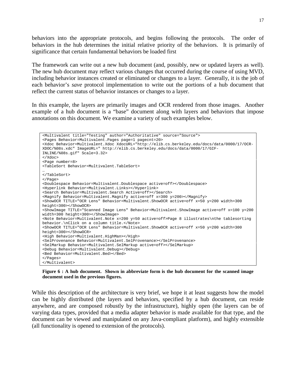behaviors into the appropriate protocols, and begins following the protocols. The order of behaviors in the hub determines the initial relative priority of the behaviors. It is primarily of significance that certain fundamental behaviors be loaded first

The framework can write out a new hub document (and, possibly, new or updated layers as well). The new hub document may reflect various changes that occurred during the course of using MVD, including behavior instances created or eliminated or changes to a layer. Generally, it is the job of each behavior's *save* protocol implementation to write out the portions of a hub document that reflect the current status of behavior instances or changes to a layer.

In this example, the layers are primarily images and OCR rendered from those images. Another example of a hub document is a "base" document along with layers and behaviors that impose annotations on this document. We examine a variety of such examples below.



**Figure 6 : A hub document. Shown in abbreviate form is the hub document for the scanned image document used in the previous figures.**

While this description of the architecture is very brief, we hope it at least suggests how the model can be highly distributed (the layers and behaviors, specified by a hub document, can reside anywhere, and are composed robustly by the infrastructure), highly open (the layers can be of varying data types, provided that a media adapter behavior is made available for that type, and the document can be viewed and manipulated on any Java-compliant platform), and highly extensible (all functionality is opened to extension of the protocols).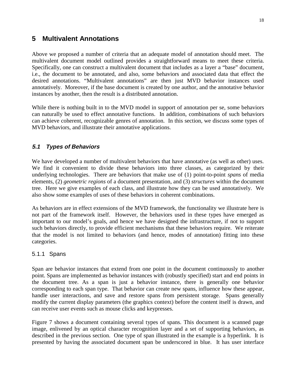### **5 Multivalent Annotations**

Above we proposed a number of criteria that an adequate model of annotation should meet. The multivalent document model outlined provides a straightforward means to meet these criteria. Specifically, one can construct a multivalent document that includes as a layer a "base" document, i.e., the document to be annotated, and also, some behaviors and associated data that effect the desired annotations. "Multivalent annotations" are then just MVD behavior instances used annotatively. Moreover, if the base document is created by one author, and the annotative behavior instances by another, then the result is a distributed annotation.

While there is nothing built in to the MVD model in support of annotation per se, some behaviors can naturally be used to effect annotative functions. In addition, combinations of such behaviors can achieve coherent, recognizable genres of annotation. In this section, we discuss some types of MVD behaviors, and illustrate their annotative applications.

#### **5.1 Types of Behaviors**

We have developed a number of multivalent behaviors that have annotative (as well as other) uses. We find it convenient to divide these behaviors into three classes, as categorized by their underlying technologies. There are behaviors that make use of (1) point-to-point *spans* of media elements, (2) *geometric regions* of a document presentation, and (3) *structures* within the document tree. Here we give examples of each class, and illustrate how they can be used annotatively. We also show some examples of uses of these behaviors in coherent combinations.

As behaviors are in effect extensions of the MVD framework, the functionality we illustrate here is not part of the framework itself. However, the behaviors used in these types have emerged as important to our model's goals, and hence we have designed the infrastructure, if not to support such behaviors directly, to provide efficient mechanisms that these behaviors require. We reiterate that the model is not limited to behaviors (and hence, modes of annotation) fitting into these categories.

#### 5.1.1 Spans

Span are behavior instances that extend from one point in the document continuously to another point. Spans are implemented as behavior instances with (robustly specified) start and end points in the document tree. As a span is just a behavior instance, there is generally one behavior corresponding to each span type. That behavior can create new spans, influence how these appear, handle user interactions, and save and restore spans from persistent storage. Spans generally modify the current display parameters (the graphics context) before the content itself is drawn, and can receive user events such as mouse clicks and keypresses.

Figure 7 shows a document containing several types of spans. This document is a scanned page image, enlivened by an optical character recognition layer and a set of supporting behaviors, as described in the previous section. One type of span illustrated in the example is a hyperlink. It is presented by having the associated document span be underscored in blue. It has user interface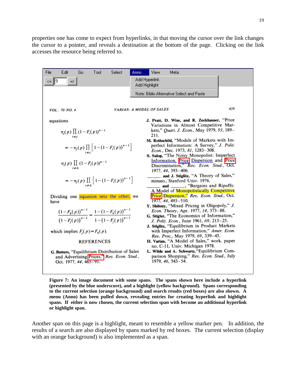properties one has come to expect from hyperlinks, in that moving the cursor over the link changes the cursor to a pointer, and reveals a destination at the bottom of the page. Clicking on the link accesses the resource being referred to.

| File     | Edit                   | Go | Tool                                               | Select                                                                                      | Anno. | View                            | Meta                                                                         |     |
|----------|------------------------|----|----------------------------------------------------|---------------------------------------------------------------------------------------------|-------|---------------------------------|------------------------------------------------------------------------------|-----|
| l9<br><= | $\Rightarrow$          |    |                                                    |                                                                                             |       | Add Hyperlink                   |                                                                              |     |
|          |                        |    |                                                    |                                                                                             |       | Add Highlight                   |                                                                              |     |
|          |                        |    |                                                    |                                                                                             |       |                                 |                                                                              |     |
|          |                        |    |                                                    |                                                                                             |       |                                 | Note: Biblio Alternative Select and Paste                                    |     |
|          |                        |    |                                                    |                                                                                             |       |                                 |                                                                              |     |
|          |                        |    |                                                    |                                                                                             |       |                                 |                                                                              | 659 |
|          | VOL. 70 NO. 4          |    |                                                    |                                                                                             |       | <b>VARIAN: A MODEL OF SALES</b> |                                                                              |     |
|          |                        |    |                                                    |                                                                                             |       |                                 | J. Pratt, D. Wise, and R. Zeckhauser, "Price                                 |     |
|          | equations              |    |                                                    |                                                                                             |       |                                 | Variations in Almost Competitive Mar-                                        |     |
|          |                        |    |                                                    |                                                                                             |       |                                 | kets," Quart. J. Econ., May 1979, 93, 189-                                   |     |
|          |                        |    | $\pi_{i}(p) \prod_{i \neq j} (1 - F_{i}(p))^{n-1}$ |                                                                                             |       | 211.                            |                                                                              |     |
|          |                        |    |                                                    |                                                                                             |       |                                 | M. Rothschild, "Models of Markets with Im-                                   |     |
|          |                        |    |                                                    |                                                                                             |       |                                 | perfect Information: A Survey," J. Polit.                                    |     |
|          |                        |    |                                                    | $=-\pi_f(p)\prod_{i\neq i}\left[1-(1-F_i(p))^{n-1}\right]$                                  |       |                                 | Econ., Dec. 1973, 81, 1283-308.                                              |     |
|          |                        |    |                                                    |                                                                                             |       |                                 | S. Salop, "The Noisy Monopolist: Imperfect                                   |     |
|          |                        |    |                                                    |                                                                                             |       |                                 | Information, Price Dispersion and Price                                      |     |
|          |                        |    | $\pi_{s}(p) \prod_{i \neq k} (1 - F_{i}(p))^{n-1}$ |                                                                                             |       |                                 | Discrimination," Rev. Econ. Stud., Oct.                                      |     |
|          |                        |    |                                                    |                                                                                             |       |                                 | 1977, 44, 393-406.                                                           |     |
|          |                        |    |                                                    |                                                                                             |       |                                 | and J. Stiglitz, "A Theory of Sales,"                                        |     |
|          |                        |    |                                                    | $= -\pi_f(p) \prod_{i \neq k} \left[1 - (1 - F_i(p))^{n-1}\right]$                          |       |                                 | mimeo., Stanford Univ. 1976.                                                 |     |
|          |                        |    |                                                    |                                                                                             |       |                                 | and ____, "Bargains and Ripoffs:<br>A Model of Monopolistically Competitive  |     |
|          |                        |    |                                                    | Dividing one equation into the other, we                                                    |       |                                 | Price Dispersion," Rev. Econ. Stud., Oct.                                    |     |
| have     |                        |    |                                                    |                                                                                             |       |                                 | 1977, 44, 493-510.                                                           |     |
|          |                        |    |                                                    |                                                                                             |       |                                 | Y. Shilony, "Mixed Pricing in Oligopoly," J.                                 |     |
|          |                        |    |                                                    |                                                                                             |       |                                 | Econ. Theory, Apr. 1977, 14, 373-88.                                         |     |
|          |                        |    |                                                    | $\frac{(1-F_k(p))^{n-1}}{(1-F_i(p))^{n-1}} = \frac{1-(1-F_k(p))^{n-1}}{1-(1-F_i(p))^{n-1}}$ |       |                                 | G. Stigler, "The Economics of Information,"                                  |     |
|          |                        |    |                                                    |                                                                                             |       |                                 | J. Polit. Econ., June 1961, 69, 213-25.                                      |     |
|          |                        |    |                                                    |                                                                                             |       |                                 | J. Stiglitz, "Equilibrium in Product Markets                                 |     |
|          |                        |    | which implies $F_i(p) = F_k(p)$ .                  |                                                                                             |       |                                 | with Imperfect Information," Amer. Econ.                                     |     |
|          |                        |    |                                                    |                                                                                             |       |                                 | Rev. Proc., May 1979, 69, 339-45.                                            |     |
|          |                        |    | <b>REFERENCES</b>                                  |                                                                                             |       |                                 | H. Varian, "A Model of Sales," work. paper<br>no. C-11, Univ. Michigan 1978. |     |
|          |                        |    |                                                    | G. Butters, "Equilibrium Distribution of Sales                                              |       |                                 | L. Wilde and A. Schwartz, "Equilibrium Com-                                  |     |
|          |                        |    |                                                    | and Advertising Prices," Rev. Econ. Stud.,                                                  |       |                                 | parison Shopping," Rev. Econ. Stud., July                                    |     |
|          | Oct. 1977, 44, 465-91. |    |                                                    |                                                                                             |       |                                 | $1979, 46, 543 - 54.$                                                        |     |
|          |                        |    |                                                    |                                                                                             |       |                                 |                                                                              |     |
|          |                        |    |                                                    |                                                                                             |       |                                 |                                                                              |     |

**Figure 7: An image document with some spans. The spans shown here include a hyperlink (presented by the blue underscore), and a highlight (yellow background). Spans corresponding to the current selection (orange background) and search results (red boxes) are also shown. A menu (Anno) has been pulled down, revealing entries for creating hyperlink and highlight spans. If either is now chosen, the current selection span with become an additional hyperlink or highlight span.**

Another span on this page is a highlight, meant to resemble a yellow marker pen. In addition, the results of a search are also displayed by spans marked by red boxes. The current selection (display with an orange background) is also implemented as a span.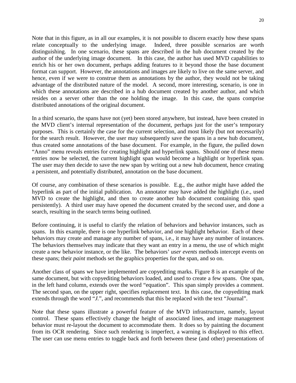Note that in this figure, as in all our examples, it is not possible to discern exactly how these spans relate conceptually to the underlying image. Indeed, three possible scenarios are worth distinguishing. In one scenario, these spans are described in the hub document created by the author of the underlying image document. In this case, the author has used MVD capabilities to enrich his or her own document, perhaps adding features to it beyond those the base document format can support. However, the annotations and images are likely to live on the same server, and hence, even if we were to construe them as annotations by the author, they would not be taking advantage of the distributed nature of the model. A second, more interesting, scenario, is one in which these annotations are described in a hub document created by another author, and which resides on a server other than the one holding the image. In this case, the spans comprise distributed annotations of the original document.

In a third scenario, the spans have not (yet) been stored anywhere, but instead, have been created in the MVD client's internal representation of the document, perhaps just for the user's temporary purposes. This is certainly the case for the current selection, and most likely (but not necessarily) for the search result. However, the user may subsequently save the spans in a new hub document, thus created some annotations of the base document. For example, in the figure, the pulled down "Anno" menu reveals entries for creating highlight and hyperlink spans. Should one of these menu entries now be selected, the current highlight span would become a highlight or hyperlink span. The user may then decide to save the new span by writing out a new hub document, hence creating a persistent, and potentially distributed, annotation on the base document.

Of course, any combination of these scenarios is possible. E.g., the author might have added the hyperlink as part of the initial publication. An annotator may have added the highlight (i.e., used MVD to create the highlight, and then to create another hub document containing this span persistently). A third user may have opened the document created by the second user, and done a search, resulting in the search terms being outlined.

Before continuing, it is useful to clarify the relation of behaviors and behavior instances, such as spans. In this example, there is one hyperlink behavior, and one highlight behavior. Each of these behaviors may create and manage any number of spans, i.e., it may have any number of instances. The behaviors themselves may indicate that they want an entry in a menu, the use of which might create a new behavior instance, or the like. The behaviors' *user events* methods intercept events on these spans; their *paint* methods set the graphics properties for the span, and so on.

Another class of spans we have implemented are copyediting marks. Figure 8 is an example of the same document, but with copyediting behaviors loaded, and used to create a few spans. One span, in the left hand column, extends over the word "equation". This span simply provides a comment. The second span, on the upper right, specifies replacement text. In this case, the copyediting mark extends through the word "*J*.", and recommends that this be replaced with the text "Journal".

Note that these spans illustrate a powerful feature of the MVD infrastructure, namely, layout control. These spans effectively change the height of associated lines, and image management behavior must re-layout the document to accommodate them. It does so by painting the document from its OCR rendering. Since such rendering is imperfect, a warning is displayed to this effect. The user can use menu entries to toggle back and forth between these (and other) presentations of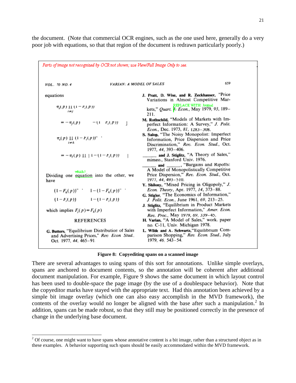the document. (Note that commercial OCR engines, such as the one used here, generally do a very poor job with equations, so that that region of the document is redrawn particularly poorly.)

| Parts of image not recognized by OCR not shown; use View/Full Image Only to see.                                      |                                                                                                                                                        |
|-----------------------------------------------------------------------------------------------------------------------|--------------------------------------------------------------------------------------------------------------------------------------------------------|
| <b>VARIAN: A MODEL OF SALES</b><br>VOL. 70 NO. 4                                                                      | 659                                                                                                                                                    |
| equations                                                                                                             | J. Pratt, D. Wise, and R. Zeckhauser, "Price<br>Variations in Almost Competitive Mar-                                                                  |
| $\pi_i(p)$ 11 (1 – $r_i(p)$ )<br>i≠j                                                                                  | REPLACE WITH: Journal<br>kets," Quart. F. Econ., May 1979, 93, 189-<br>211.                                                                            |
| $-(1 - r_i(p))$<br>$=-\pi_f(p)$<br>J.                                                                                 | M. Rothschild, "Models of Markets with Im-<br>perfect Information: A Survey," J. Polit.<br>Econ., Dec. 1973, 81, 1283-308.                             |
| $\pi_{s}(p) \amalg (1 - F_{i}(p))^{n}$ .<br>i≠k.                                                                      | S. Salop, "The Noisy Monopolist: Imperfect<br>Information, Price Dispersion and Price<br>Discrimination," Rev. Econ. Stud., Oct.<br>1977, 44, 393-406. |
| $= -\pi_i(p)$ $\prod$ $\mid$ $1 - (1 - F_i(p))$<br>ı                                                                  | and J. Stiglitz, "A Theory of Sales,"<br>mimeo., Stanford Univ. 1976.                                                                                  |
| which?<br>Dividing one equation into the other, we<br>have                                                            | and _______, "Bargains and Ripoffs:<br>A Model of Monopolistically Competitive<br>Price Dispersion," Rev. Econ. Stud., Oct.<br>1977, 44, 493-510.      |
| $(1-F_k(p))^2$ $1-(1-F_k(p))^2$                                                                                       | Y. Shilony, "Mixed Pricing in Oligopoly," J.<br>Econ. Theory, Apr. 1977, 14, 373-88.<br>G. Stigler. "The Economics of Information,"                    |
| $(1-F_i(p))$ $1-(1-F_i(p))$                                                                                           | J. Polit. Econ., June 1961, 69, 213-25.<br>J. Stiglitz, "Equilibrium in Product Markets                                                                |
| which implies $F_{\ell}(p) = F_{k}(p)$                                                                                | with Imperfect Information," Amer. Econ.<br>Rev. Proc., May 1979, 69, 339-45.                                                                          |
| <b>REFERENCES</b>                                                                                                     | H. Varian, "A Model of Sales," work. paper<br>no. C-11, Univ. Michigan 1978.                                                                           |
| G. Butters, "Equilibrium Distribution of Sales<br>and Advertising Prices," Rev. Econ Stud.,<br>Oct. 1977, 44, 465-91. | L. Wilde and A. Schwartz, "Equilibrium Com-<br>parison Shopping," Rev. Econ. Stud., July<br>1979, 46, 543-54.                                          |

**Figure 8: Copyediting spans on a scanned image**

There are several advantages to using spans of this sort for annotations. Unlike simple overlays, spans are anchored to document contents, so the annotation will be coherent after additional document manipulation. For example, Figure 9 shows the same document in which layout control has been used to double-space the page image (by the use of a doublespace behavior). Note that the copyeditor marks have stayed with the appropriate text. Had this annotation been achieved by a simple bit image overlay (which one can also easy accomplish in the MVD framework), the contents of the overlay would no longer be aligned with the base after such a manipulation.<sup>2</sup> In addition, spans can be made robust, so that they still may be positioned correctly in the presence of change in the underlying base document.

<sup>&</sup>lt;sup>2</sup> Of course, one might want to have spans whose annotative content is a bit image, rather than a structured object as in these examples. A behavior supporting such spans should be easily accommodated within the MVD framework.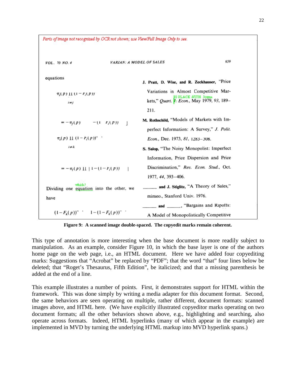Parts of image not recognized by OCR not shown; use View/Full Image Only to see. 659 **VARIAN: A MODEL OF SALES** VOL. 70 NO. 4 equations J. Pratt, D. Wise, and R. Zeckhauser, "Price Variations in Almost Competitive Mar- $\pi_s(p)$  11 (1 –  $r_i(p)$ ) U PLACE WITH Jo kets," Quart. F. Econ., May 1979, 93, 189 $i \neq j$ 211. M. Rothschild, "Models of Markets with Im- $=(1 - P_i(P))$  $-\pi_f(p)$ perfect Information: A Survey," J. Polit.  $\pi_{\epsilon}(p) \amalg (1 + F_{\epsilon}(p))^{\alpha}$ . Econ., Dec. 1973, 81, 1283-308.  $i \neq k$ S. Salop, "The Noisy Monopolist: Imperfect Information, Price Dispersion and Price Discrimination," Rev. Econ. Stud., Oct.  $= -\pi_i(p)$  || | |  $- (1 - F_i(p))$  | 1977, 44, 393-406. which? and J. Stiglitz, "A Theory of Sales," Dividing one equation into the other, we mimeo., Stanford Univ. 1976. have ... "Bargains and Ripoffs: and  $(1-F_k(p))^n$   $1-(1-F_k(p))^n$ A Model of Monopolistically Competitive

**Figure 9: A scanned image double-spaced. The copyedit marks remain coherent.**

This type of annotation is more interesting when the base document is more readily subject to manipulation. As an example, consider Figure 10, in which the base layer is one of the authors home page on the web page, i.e., an HTML document. Here we have added four copyediting marks: Suggestions that "Acrobat" be replaced by "PDF"; that the word "that" four lines below be deleted; that "Roget's Thesaurus, Fifth Edition", be italicized; and that a missing parenthesis be added at the end of a line.

This example illustrates a number of points. First, it demonstrates support for HTML within the framework. This was done simply by writing a media adapter for this document format. Second, the same behaviors are seen operating on multiple, rather different, document formats: scanned images above, and HTML here. (We have explicitly illustrated copyeditor marks operating on two document formats; all the other behaviors shown above, e.g., highlighting and searching, also operate across formats. Indeed, HTML hyperlinks (many of which appear in the example) are implemented in MVD by turning the underlying HTML markup into MVD hyperlink spans.)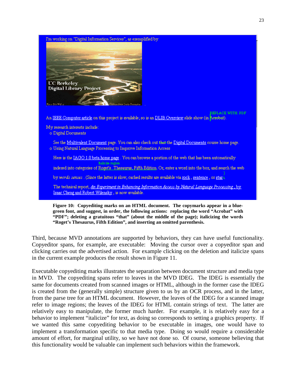

**Figure 10: Copyediting marks on an HTML document. The copymarks appear in a bluegreen font, and suggest, in order, the following actions: replacing the word "Acrobat" with "PDF"; deleting a gratuitous "that" (about the middle of the page); italicizing the words "Roget's Thesaurus, Fifth Edition", and inserting an omitted parenthesis.**

Third, because MVD annotations are supported by behaviors, they can have useful functionality. Copyeditor spans, for example, are executable: Moving the cursor over a copyeditor span and clicking carries out the advertised action. For example clicking on the deletion and italicize spans in the current example produces the result shown in Figure 11.

Executable copyediting marks illustrates the separation between document structure and media type in MVD. The copyediting spans refer to leaves in the MVD IDEG. The IDEG is essentially the same for documents created from scanned images or HTML, although in the former case the IDEG is created from the (generally simple) structure given to us by an OCR process, and in the latter, from the parse tree for an HTML document. However, the leaves of the IDEG for a scanned image refer to image regions; the leaves of the IDEG for HTML contain strings of text. The latter are relatively easy to manipulate, the former much harder. For example, it is relatively easy for a behavior to implement "italicize" for text, as doing so corresponds to setting a graphics property. If we wanted this same copyediting behavior to be executable in images, one would have to implement a transformation specific to that media type. Doing so would require a considerable amount of effort, for marginal utility, so we have not done so. Of course, someone believing that this functionality would be valuable can implement such behaviors within the framework.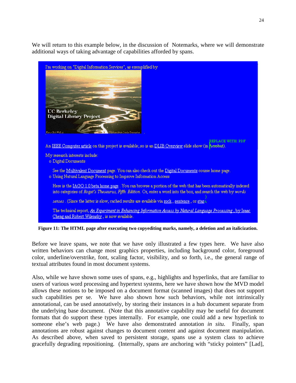We will return to this example below, in the discussion of Notemarks, where we will demonstrate additional ways of taking advantage of capabilities afforded by spans.



**Figure 11: The HTML page after executing two copyediting marks, namely, a deletion and an italicization.**

Before we leave spans, we note that we have only illustrated a few types here. We have also written behaviors can change most graphics properties, including background color, foreground color, underline/overstrike, font, scaling factor, visibility, and so forth, i.e., the general range of textual attributes found in most document systems.

Also, while we have shown some uses of spans, e.g., highlights and hyperlinks, that are familiar to users of various word processing and hypertext systems, here we have shown how the MVD model allows these notions to be imposed on a document format (scanned images) that does not support such capabilities per se. We have also shown how such behaviors, while not intrinsically annotational, can be used annotatively, by storing their instances in a hub document separate from the underlying base document. (Note that this annotative capability may be useful for document formats that do support these types internally. For example, one could add a new hyperlink to someone else's web page.) We have also demonstrated annotation *in situ*. Finally, span annotations are robust against changes to document content and against document manipulation. As described above, when saved to persistent storage, spans use a system class to achieve gracefully degrading repositioning. (Internally, spans are anchoring with "sticky pointers" [Lad],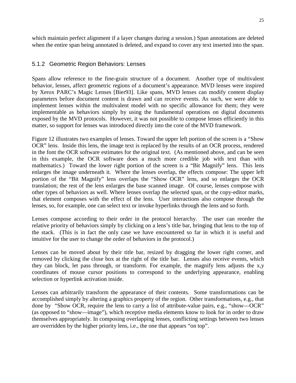which maintain perfect alignment if a layer changes during a session.) Span annotations are deleted when the entire span being annotated is deleted, and expand to cover any text inserted into the span.

#### 5.1.2 Geometric Region Behaviors: Lenses

Spans allow reference to the fine-grain structure of a document. Another type of multivalent behavior, lenses, affect geometric regions of a document's appearance. MVD lenses were inspired by Xerox PARC's Magic Lenses [Bier93]. Like spans, MVD lenses can modify content display parameters before document content is drawn and can receive events. As such, we were able to implement lenses within the multivalent model with no specific allowance for them; they were implementable as behaviors simply by using the fundamental operations on digital documents exposed by the MVD protocols. However, it was not possible to compose lenses efficiently in this matter, so support for lenses was introduced directly into the core of the MVD framework.

Figure 12 illustrates two examples of lenses. Toward the upper left portion of the screen is a "Show OCR" lens. Inside this lens, the image text is replaced by the results of an OCR process, rendered in the font the OCR software estimates for the original text. (As mentioned above, and can be seen in this example, the OCR software does a much more credible job with text than with mathematics.) Toward the lower right portion of the screen is a "Bit Magnify" lens. This lens enlarges the image underneath it. Where the lenses overlap, the effects compose: The upper left portion of the "Bit Magnify" lens overlaps the "Show OCR" lens, and so enlarges the OCR translation; the rest of the lens enlarges the base scanned image. Of course, lenses compose with other types of behaviors as well. Where lenses overlap the selected span, or the copy-editor marks, that element composes with the effect of the lens. User interactions also compose through the lenses, so, for example, one can select text or invoke hyperlinks through the lens and so forth.

Lenses compose according to their order in the protocol hierarchy. The user can reorder the relative priority of behaviors simply by clicking on a lens's title bar, bringing that lens to the top of the stack. (This is in fact the only case we have encountered so far in which it is useful and intuitive for the user to change the order of behaviors in the protocol.)

Lenses can be moved about by their title bar, resized by dragging the lower right corner, and removed by clicking the close box at the right of the title bar. Lenses also receive events, which they can block, let pass through, or transform. For example, the magnify lens adjusts the x,y coordinates of mouse cursor positions to correspond to the underlying appearance, enabling selection or hyperlink activation inside.

Lenses can arbitrarily transform the appearance of their contents. Some transformations can be accomplished simply by altering a graphics property of the region. Other transformations, e.g., that done by "Show OCR, require the lens to carry a list of attribute-value pairs, e.g., "show—OCR" (as opposed to "show—image"), which receptive media elements know to look for in order to draw themselves appropriately. In composing overlapping lenses, conflicting settings between two lenses are overridden by the higher priority lens, i.e., the one that appears "on top".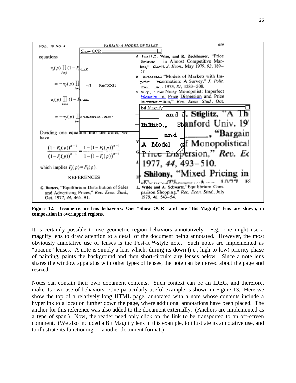

**Figure 12: Geometric or lens behaviors: One "Show OCR" and one "Bit Magnify" lens are shown, in composition in overlapped regions.**

It is certainly possible to use geometric region behaviors annotatively. E.g., one might use a magnify lens to draw attention to a detail of the document being annotated. However, the most obviously annotative use of lenses is the Post-it™-style note. Such notes are implemented as "opaque" lenses. A note is simply a lens which, during its down (i.e., high-to-low) priority phase of painting, paints the background and then short-circuits any lenses below. Since a note lens shares the window apparatus with other types of lenses, the note can be moved about the page and resized.

Notes can contain their own document contents. Such context can be an IDEG, and therefore, make its own use of behaviors. One particularly useful example is shown in Figure 13. Here we show the top of a relatively long HTML page, annotated with a note whose contents include a hyperlink to a location further down the page, where additional annotations have been placed. The anchor for this reference was also added to the document externally. (Anchors are implemented as a type of span.) Now, the reader need only click on the link to be transported to an off-screen comment. (We also included a Bit Magnify lens in this example, to illustrate its annotative use, and to illustrate its functioning on another document format.)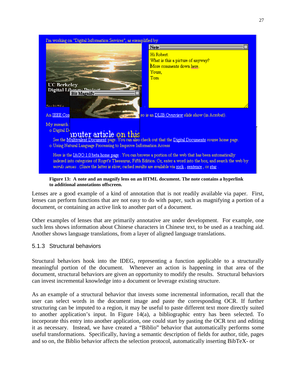

**Figure 13: A note and an magnify lens on an HTML document. The note contains a hyperlink to additional annotations offscreen.**

Lenses are a good example of a kind of annotation that is not readily available via paper. First, lenses can perform functions that are not easy to do with paper, such as magnifying a portion of a document, or containing an active link to another part of a document.

Other examples of lenses that are primarily annotative are under development. For example, one such lens shows information about Chinese characters in Chinese text, to be used as a teaching aid. Another shows language translations, from a layer of aligned language translations.

#### 5.1.3 Structural behaviors

Structural behaviors hook into the IDEG, representing a function applicable to a structurally meaningful portion of the document. Whenever an action is happening in that area of the document, structural behaviors are given an opportunity to modify the results. Structural behaviors can invest incremental knowledge into a document or leverage existing structure.

As an example of a structural behavior that invests some incremental information, recall that the user can select words in the document image and paste the corresponding OCR. If further structuring can be imputed to a region, it may be useful to paste different text more directly suited to another application's input. In Figure 14(a), a bibliographic entry has been selected. To incorporate this entry into another application, one could start by pasting the OCR text and editing it as necessary. Instead, we have created a "Biblio" behavior that automatically performs some useful transformations. Specifically, having a semantic description of fields for author, title, pages and so on, the Biblio behavior affects the selection protocol, automatically inserting BibTeX- or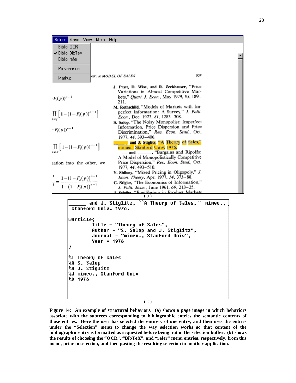| Select Anno View Meta Help<br><b>Biblio: OCR</b>                                                                                                                                                                                                                            |                        |                |                                                                                                                                                                                                                                                                                                                                                                                                                                                                                                                                                                                                                                                                                                                                                                                                                                                                                                               |  |
|-----------------------------------------------------------------------------------------------------------------------------------------------------------------------------------------------------------------------------------------------------------------------------|------------------------|----------------|---------------------------------------------------------------------------------------------------------------------------------------------------------------------------------------------------------------------------------------------------------------------------------------------------------------------------------------------------------------------------------------------------------------------------------------------------------------------------------------------------------------------------------------------------------------------------------------------------------------------------------------------------------------------------------------------------------------------------------------------------------------------------------------------------------------------------------------------------------------------------------------------------------------|--|
| ✔ Biblio: BibTeX<br>Biblio: refer                                                                                                                                                                                                                                           |                        |                |                                                                                                                                                                                                                                                                                                                                                                                                                                                                                                                                                                                                                                                                                                                                                                                                                                                                                                               |  |
|                                                                                                                                                                                                                                                                             | Provenance             |                |                                                                                                                                                                                                                                                                                                                                                                                                                                                                                                                                                                                                                                                                                                                                                                                                                                                                                                               |  |
| Markup                                                                                                                                                                                                                                                                      |                        |                | 659<br>4N: A MODEL OF SALES                                                                                                                                                                                                                                                                                                                                                                                                                                                                                                                                                                                                                                                                                                                                                                                                                                                                                   |  |
| $(F_i(p))^{n-1}$<br>$\prod_{i \neq i} \left[1 - \left(1 - F_i(p)\right)^{n-1}\right]$<br>$-F_i(p))^{n-1}$<br>$\prod_{i \neq j} \left[ 1 - (1 - F_i(p))^{n-1} \right]$<br>uation into the other, we<br>$\frac{1}{1} = \frac{1 - (1 - F_k(p))^{n-1}}{1 - (1 - F_j(p))^{n-1}}$ |                        |                | J. Pratt, D. Wise, and R. Zeckhauser, "Price<br>Variations in Almost Competitive Mar-<br>kets," Quart. J. Econ., May 1979, 93, 189-<br>211.<br>M. Rothschild, "Models of Markets with Im-<br>perfect Information: A Survey," J. Polit.<br>Econ., Dec. 1973, 81, 1283-308.<br>S. Salop, "The Noisy Monopolist: Imperfect<br>Information, Price Dispersion and Price<br>Discrimination," Rev. Econ. Stud., Oct.<br>1977, 44, 393-406.<br><b>Example 2. Stiglitz, "A Theory of Sales,"</b><br>mimeo., Stanford Univ. 1976.<br>and ________, "Bargains and Ripoffs:<br>A Model of Monopolistically Competitive<br>Price Dispersion," Rev. Econ. Stud., Oct.<br>1977, 44, 493-510.<br>Y. Shilony, "Mixed Pricing in Oligopoly," J.<br>Econ. Theory, Apr. 1977, 14, 373-88.<br>G. Stigler, "The Economics of Information,"<br>J. Polit. Econ., June 1961, 69, 213-25.<br>1 Stielitz "Equilibrium in Product Markets |  |
|                                                                                                                                                                                                                                                                             |                        |                | (a)<br>and J. Stiglitz, ``A Theory of Sales,'' mimeo.,                                                                                                                                                                                                                                                                                                                                                                                                                                                                                                                                                                                                                                                                                                                                                                                                                                                        |  |
|                                                                                                                                                                                                                                                                             |                        |                | Stanford Univ. 1976.                                                                                                                                                                                                                                                                                                                                                                                                                                                                                                                                                                                                                                                                                                                                                                                                                                                                                          |  |
|                                                                                                                                                                                                                                                                             | <b>@Article{</b><br>≯  |                | Title = "Theory of Sales",<br>Author = "S. Salop and J. Stiglitz",<br>Journal = "mimeo., Stanford Univ",<br>Year = 1976                                                                                                                                                                                                                                                                                                                                                                                                                                                                                                                                                                                                                                                                                                                                                                                       |  |
|                                                                                                                                                                                                                                                                             | %A S. Salop<br>%D 1976 | %A J. Stiglitz | %T Theory of Sales<br>%J mimeo., Stanford Univ                                                                                                                                                                                                                                                                                                                                                                                                                                                                                                                                                                                                                                                                                                                                                                                                                                                                |  |

(b)

**Figure 14: An example of structural behaviors. (a) shows a page image in which behaviors associate with the subtrees corresponding to bibliographic entries the semantic contents of those entries. Here the user has selected the entirety of one entry, and then uses the entries under the "Selection" menu to change the way selection works so that content of the bibliographic entry is formatted as requested before being put in the selection buffer. (b) shows the results of choosing the "OCR", "BibTeX", and "refer" menu entries, respectively, from this menu, prior to selection, and then pasting the resulting selection in another application.**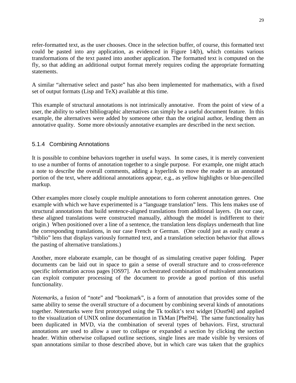refer-formatted text, as the user chooses. Once in the selection buffer, of course, this formatted text could be pasted into any application, as evidenced in Figure 14(b), which contains various transformations of the text pasted into another application. The formatted text is computed on the fly, so that adding an additional output format merely requires coding the appropriate formatting statements.

A similar "alternative select and paste" has also been implemented for mathematics, with a fixed set of output formats (Lisp and TeX) available at this time.

This example of structural annotations is not intrinsically annotative. From the point of view of a user, the ability to select bibliographic alternatives can simply be a useful document feature. In this example, the alternatives were added by someone other than the original author, lending them an annotative quality. Some more obviously annotative examples are described in the next section.

#### 5.1.4 Combining Annotations

It is possible to combine behaviors together in useful ways. In some cases, it is merely convenient to use a number of forms of annotation together to a single purpose. For example, one might attach a note to describe the overall comments, adding a hyperlink to move the reader to an annotated portion of the text, where additional annotations appear, e.g., as yellow highlights or blue-pencilled markup.

Other examples more closely couple multiple annotations to form coherent annotation genres. One example with which we have experimented is a "language translation" lens. This lens makes use of structural annotations that build sentence-aligned translations from additional layers. (In our case, these aligned translations were constructed manually, although the model is indifferent to their origin.) When positioned over a line of a sentence, the translation lens displays underneath that line the corresponding translations, in our case French or German. (One could just as easily create a "biblio" lens that displays variously formatted text, and a translation selection behavior that allows the pasting of alternative translations.)

Another, more elaborate example, can be thought of as simulating creative paper folding. Paper documents can be laid out in space to gain a sense of overall structure and to cross-reference specific information across pages [OS97]. An orchestrated combination of multivalent annotations can exploit computer processing of the document to provide a good portion of this useful functionality.

*Notemarks*, a fusion of "note" and "bookmark", is a form of annotation that provides some of the same ability to sense the overall structure of a document by combining several kinds of annotations together. Notemarks were first prototyped using the Tk toolkit's text widget [Oust94] and applied to the visualization of UNIX online documentation in TkMan [Phel94]. The same functionality has been duplicated in MVD, via the combination of several types of behaviors. First, structural annotations are used to allow a user to collapse or expanded a section by clicking the section header. Within otherwise collapsed outline sections, single lines are made visible by versions of span annotations similar to those described above, but in which care was taken that the graphics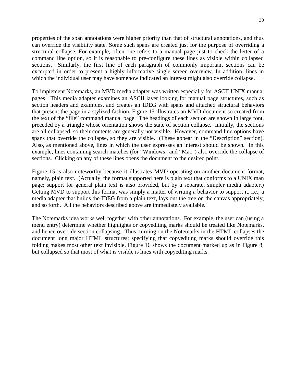properties of the span annotations were higher priority than that of structural annotations, and thus can override the visibility state. Some such spans are created just for the purpose of overriding a structural collapse. For example, often one refers to a manual page just to check the letter of a command line option, so it is reasonable to pre-configure these lines as visible within collapsed sections. Similarly, the first line of each paragraph of commonly important sections can be excerpted in order to present a highly informative single screen overview. In addition, lines in which the individual user may have somehow indicated an interest might also override collapse.

To implement Notemarks, an MVD media adapter was written especially for ASCII UNIX manual pages. This media adapter examines an ASCII layer looking for manual page structures, such as section headers and examples, and creates an IDEG with spans and attached structural behaviors that present the page in a stylized fashion. Figure 15 illustrates an MVD document so created from the text of the "file" command manual page. The headings of each section are shown in large font, preceded by a triangle whose orientation shows the state of section collapse. Initially, the sections are all collapsed, so their contents are generally not visible. However, command line options have spans that override the collapse, so they are visible. (These appear in the "Description" section). Also, as mentioned above, lines in which the user expresses an interest should be shown. In this example, lines containing search matches (for "Windows" and "Mac") also override the collapse of sections. Clicking on any of these lines opens the document to the desired point.

Figure 15 is also noteworthy because it illustrates MVD operating on another document format, namely, plain text. (Actually, the format supported here is plain text that conforms to a UNIX man page; support for general plain text is also provided, but by a separate, simpler media adapter.) Getting MVD to support this format was simply a matter of writing a behavior to support it, i.e., a media adapter that builds the IDEG from a plain text, lays out the tree on the canvas appropriately, and so forth. All the behaviors described above are immediately available.

The Notemarks idea works well together with other annotations. For example, the user can (using a menu entry) determine whether highlights or copyediting marks should be treated like Notemarks, and hence override section collapsing. Thus. turning on the Notemarks in the HTML collapses the document long major HTML structures; specifying that copyediting marks should override this folding makes most other text invisible. Figure 16 shows the document marked up as in Figure 8, but collapsed so that most of what is visible is lines with copyediting marks.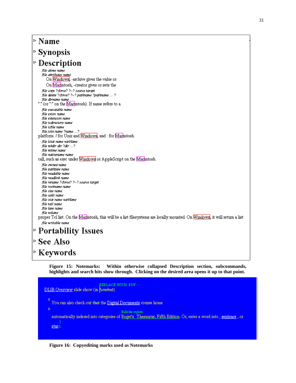#### |⊳ Name  $\triangleright$  Synopsis  $\triangleright$  Description file atime name .<br>file att<u>ributes nam</u>e On Windows, -archive gives the value or On Macintosh, -creator gives or sets the file copy ?-force? ?--? source target file delete ?-force? ?--? pathname ?pathname ... ? file dirrame rame "." (or "." on the Macintosh). If name refers to a file executable name file exists name file extension name file isdirectory name file isfile name file join name ?name ...? platform: / for Unix and Windows, and : for Macintosh. file lstat name varName file mháir dir ?dir ...? file mtime rame file nativename name. call, such as exec under Windows or AppleScript on the Macintosh. file owned name file pathtype name file readable name file readlink name file rename ?-force? ?--? source target file rootname name file size name file split name file stat name varName file tail name

file type name file volume

proper Tcl list. On the Macintosh, this will be a list filesystems are locally mounted. On Windows, it will return a list file writable name

# $\triangleright$  Portability Issues

|⊳ See Also

 $\triangleright$  Keywords

**Figure 15: Notemarks: Within otherwise collapsed Description section, subcommands, highlights and search hits show through. Clicking on the desired area opens it up to that point.**

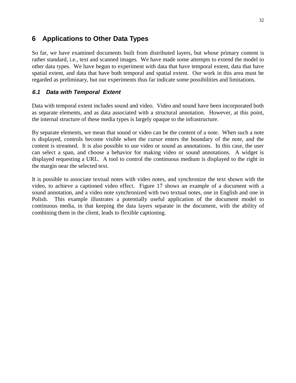# **6 Applications to Other Data Types**

So far, we have examined documents built from distributed layers, but whose primary content is rather standard, i.e., text and scanned images. We have made some attempts to extend the model to other data types. We have begun to experiment with data that have temporal extent, data that have spatial extent, and data that have both temporal and spatial extent. Our work in this area must be regarded as preliminary, but our experiments thus far indicate some possibilities and limitations.

#### **6.1 Data with Temporal Extent**

Data with temporal extent includes sound and video. Video and sound have been incorporated both as separate elements, and as data associated with a structural annotation. However, at this point, the internal structure of these media types is largely opaque to the infrastructure.

By separate elements, we mean that sound or video can be the content of a note. When such a note is displayed, controls become visible when the cursor enters the boundary of the note, and the content is streamed. It is also possible to use video or sound as annotations. In this case, the user can select a span, and choose a behavior for making video or sound annotations. A widget is displayed requesting a URL. A tool to control the continuous medium is displayed to the right in the margin near the selected text.

It is possible to associate textual notes with video notes, and synchronize the text shown with the video, to achieve a captioned video effect. Figure 17 shows an example of a document with a sound annotation, and a video note synchronized with two textual notes, one in English and one in Polish. This example illustrates a potentially useful application of the document model to continuous media, in that keeping the data layers separate in the document, with the ability of combining them in the client, leads to flexible captioning.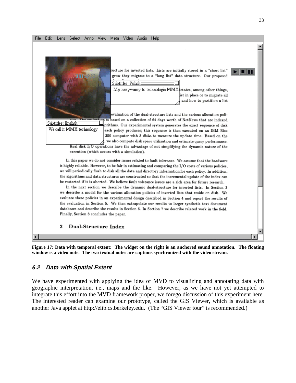

**Figure 17: Data with temporal extent: The widget on the right is an anchored sound annotation. The floating window is a video note. The two textual notes are captions synchronized with the video stream.**

#### **6.2 Data with Spatial Extent**

We have experimented with applying the idea of MVD to visualizing and annotating data with geographic interpretation, i.e., maps and the like. However, as we have not yet attempted to integrate this effort into the MVD framework proper, we forego discussion of this experiment here. The interested reader can examine our prototype, called the GIS Viewer, which is available as another Java applet at http://elib.cs.berkeley.edu. (The "GIS Viewer tour" is recommended.)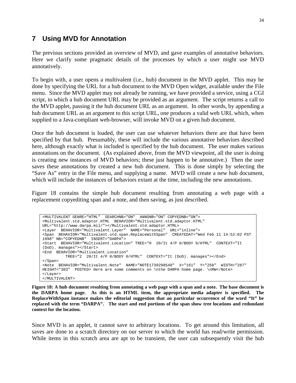# **7 Using MVD for Annotation**

The previous sections provided an overview of MVD, and gave examples of annotative behaviors. Here we clarify some pragmatic details of the processes by which a user might use MVD annotatively.

To begin with, a user opens a multivalent (i.e., hub) document in the MVD applet. This may be done by specifying the URL for a hub document to the MVD Open widget, available under the File menu. Since the MVD applet may not already be running, we have provided a service, using a CGI script, to which a hub document URL may be provided as an argument. The script returns a call to the MVD applet, passing it the hub document URL as an argument. In other words, by appending a hub document URL as an argument to this script URL, one produces a valid web URL which, when supplied to a Java-compliant web-browser, will invoke MVD on a given hub document.

Once the hub document is loaded, the user can use whatever behaviors there are that have been specified by that hub. Presumably, these will include the various annotative behaviors described here, although exactly what is included is specified by the hub document. The user makes various annotations on the document. (As explained above, from the MVD viewpoint, all the user is doing is creating new instances of MVD behaviors; these just happen to be annotative.) Then the user saves these annotations by created a new hub document. This is done simply by selecting the "Save As" entry in the File menu, and supplying a name. MVD will create a new hub document, which will include the instances of behaviors extant at the time, including the new annotations.

Figure 18 contains the simple hub document resulting from annotating a web page with a replacement copyediting span and a note, and then saving, as just described.

```
<MULTIVALENT GENRE="HTML" SEARCHNB="ON" ANNONB="ON" COPYEDNB="ON">
<Multivalent.std.adaptor.HTML BEHAVIOR="Multivalent.std.adaptor.HTML"
URL="http://www.darpa.mil/"></Multivalent.std.adaptor.HTML>
<Layer BEHAVIOR="Multivalent.Layer" NAME="Personal" URL="inline">
<Span BEHAVIOR="Multivalent.std.span.ReplaceWithSpan" CREATEDAT="Wed Feb 11 14:52:02 PST
1998" NB="COPYEDNB" INSERT="DARPA">
<Start BEHAVIOR="Multivalent.Location" TREE="0 20/It 4/P 0/BODY 0/HTML" CONTEXT="It
(DoD). manages"></Start>
<End BEHAVIOR="Multivalent.Location"
          TREE="2 20/It 4/P 0/BODY 0/HTML" CONTEXT="It (DoD). manages"></End>
</Span>
<Note BEHAVIOR="Multivalent.Note" NAME="NOTE1739298548" X="161" Y="258" WIDTH="287"
HEIGHT="303" POSTED> Here are some comments on \nthe DARPA home page. \nRW</Note>
</Layer>
</MULTIVALENT>
```
**Figure 18: A hub document resulting from annotating a web page with a span and a note. The base document is the DARPA home page. As this is an HTML item, the appropriate media adapter is specified. The ReplaceWithSpan instance makes the editorial suggestion that an particular occurrence of the word "It" be replaced with the term "DARPA". The start and end portions of the span show tree locations and redundant context for the location.**

Since MVD is an applet, it cannot save to arbitrary locations. To get around this limitation, all saves are done to a scratch directory on our server to which the world has read/write permission. While items in this scratch area are apt to be transient, the user can subsequently visit the hub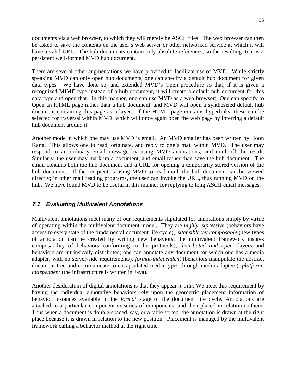documents via a web browser, to which they will merely be ASCII files. The web browser can then be asked to save the contents on the user's web server or other networked service at which it will have a valid URL. The hub documents contain only absolute references, so the resulting item is a persistent well-formed MVD hub document.

There are several other augmentations we have provided to facilitate use of MVD. While strictly speaking MVD can only open hub documents, one can specify a default hub document for given data types. We have done so, and extended MVD's Open procedure so that, if it is given a recognized MIME type instead of a hub document, it will create a default hub document for this data type and open that. In this manner, one can use MVD as a web browser: One can specify to Open an HTML page rather than a hub document, and MVD will open a synthesized default hub document containing this page as a layer. If the HTML page contains hyperlinks, these can be selected for traversal within MVD, which will once again open the web page by inferring a default hub document around it.

Another mode in which one may use MVD is email. An MVD emailer has been written by Hoon Kang. This allows one to read, originate, and reply to one's mail within MVD. The user may respond to an ordinary email message by using MVD annotations, and mail off the result. Similarly, the user may mark up a document, and email rather than save the hub document. The email contains both the hub document and a URL for opening a temporarily stored version of the hub document. If the recipient is using MVD to read mail, the hub document can be viewed directly; in other mail reading programs, the user can invoke the URL, thus running MVD on the hub. We have found MVD to be useful in this manner for replying to long ASCII email messages.

#### **7.1 Evaluating Multivalent Annotations**

Multivalent annotations meet many of our requirements stipulated for annotations simply by virtue of operating within the multivalent document model. They are *highly expressive* (behaviors have access to every state of the fundamental document life cycle), *extensible yet composable* (new types of annotation can be created by writing new behaviors; the multivalent framework insures composability of behaviors conforming to the protocols), *distributed and open* (layers and behaviors are intrinsically distributed; one can annotate any document for which one has a media adapter, with no server-side requirements), *format-independent* (behaviors manipulate the abstract document tree and communicate to encapsulated media types through media adapters), *platformindependent* (the infrastructure is written in Java).

Another desideratum of digital annotations is that they appear *in situ*. We meet this requirement by having the individual annotative behaviors rely upon the geometric placement information of behavior instances available in the *format* stage of the document life cycle. Annotations are attached to a particular component or series of components, and then placed in relation to them. Thus when a document is double-spaced, say, or a table sorted, the annotation is drawn at the right place because it is drawn in relation to the new position. Placement is managed by the multivalent framework calling a behavior method at the right time.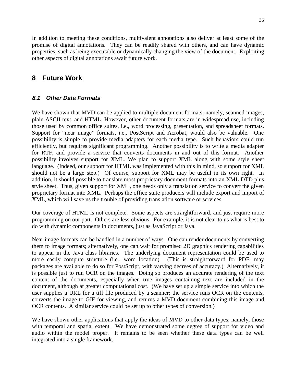In addition to meeting these conditions, multivalent annotations also deliver at least some of the promise of digital annotations. They can be readily shared with others, and can have dynamic properties, such as being executable or dynamically changing the view of the document. Exploiting other aspects of digital annotations await future work.

# **8 Future Work**

### **8.1 Other Data Formats**

We have shown that MVD can be applied to multiple document formats, namely, scanned images, plain ASCII text, and HTML. However, other document formats are in widespread use, including those used by common office suites, i.e., word processing, presentation, and spreadsheet formats. Support for "near image" formats, i.e., PostScript and Acrobat, would also be valuable. One possibility is simple to provide media adapters for each media type. Such behaviors could run efficiently, but requires significant programming. Another possibility is to write a media adapter for RTF, and provide a service that converts documents in and out of this format. Another possibility involves support for XML. We plan to support XML along with some style sheet language. (Indeed, our support for HTML was implemented with this in mind, so support for XML should not be a large step.) Of course, support for XML may be useful in its own right. In addition, it should possible to translate most proprietary document formats into an XML DTD plus style sheet. Thus, given support for XML, one needs only a translation service to convert the given proprietary format into XML. Perhaps the office suite producers will include export and import of XML, which will save us the trouble of providing translation software or services.

Our coverage of HTML is not complete. Some aspects are straightforward, and just require more programming on our part. Others are less obvious. For example, it is not clear to us what is best to do with dynamic components in documents, just as JavaScript or Java.

Near image formats can be handled in a number of ways. One can render documents by converting them to image formats; alternatively, one can wait for promised 2D graphics rendering capabilities to appear in the Java class libraries. The underlying document representation could be used to more easily compute structure (i.e., word location). (This is straightforward for PDF; may packages are available to do so for PostScript, with varying decrees of accuracy.) Alternatively, it is possible just to run OCR on the images. Doing so produces an accurate rendering of the text content of the documents, especially when true images containing text are included in the document, although at greater computational cost. (We have set up a simple service into which the user supplies a URL for a tiff file produced by a scanner; the service runs OCR on the contents, converts the image to GIF for viewing, and returns a MVD document combining this image and OCR contents. A similar service could be set up to other types of conversion.)

We have shown other applications that apply the ideas of MVD to other data types, namely, those with temporal and spatial extent. We have demonstrated some degree of support for video and audio within the model proper. It remains to be seen whether these data types can be well integrated into a single framework.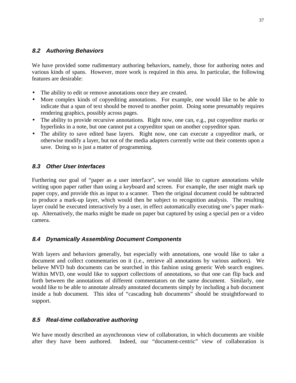#### **8.2 Authoring Behaviors**

We have provided some rudimentary authoring behaviors, namely, those for authoring notes and various kinds of spans. However, more work is required in this area. In particular, the following features are desirable:

- The ability to edit or remove annotations once they are created.
- More complex kinds of copyediting annotations. For example, one would like to be able to indicate that a span of text should be moved to another point. Doing some presumably requires rendering graphics, possibly across pages.
- The ability to provide recursive annotations. Right now, one can, e.g., put copyeditor marks or hyperlinks in a note, but one cannot put a copyeditor span on another copyeditor span.
- The ability to save edited base layers. Right now, one can execute a copyeditor mark, or otherwise modify a layer, but not of the media adapters currently write out their contents upon a save. Doing so is just a matter of programming.

#### **8.3 Other User Interfaces**

Furthering our goal of "paper as a user interface", we would like to capture annotations while writing upon paper rather than using a keyboard and screen. For example, the user might mark up paper copy, and provide this as input to a scanner. Then the original document could be subtracted to produce a mark-up layer, which would then be subject to recognition analysis. The resulting layer could be executed interactively by a user, in effect automatically executing one's paper markup. Alternatively, the marks might be made on paper but captured by using a special pen or a video camera.

#### **8.4 Dynamically Assembling Document Components**

With layers and behaviors generally, but especially with annotations, one would like to take a document and collect commentaries on it (i.e., retrieve all annotations by various authors). We believe MVD hub documents can be searched in this fashion using generic Web search engines. Within MVD, one would like to support collections of annotations, so that one can flip back and forth between the annotations of different commentators on the same document. Similarly, one would like to be able to annotate already annotated documents simply by including a hub document inside a hub document. This idea of "cascading hub documents" should be straightforward to support.

#### **8.5 Real-time collaborative authoring**

We have mostly described an asynchronous view of collaboration, in which documents are visible after they have been authored. Indeed, our "document-centric" view of collaboration is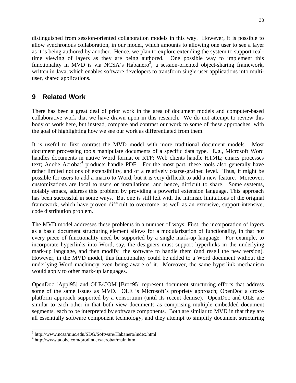distinguished from session-oriented collaboration models in this way. However, it is possible to allow synchronous collaboration, in our model, which amounts to allowing one user to see a layer as it is being authored by another. Hence, we plan to explore extending the system to support realtime viewing of layers as they are being authored. One possible way to implement this functionality in MVD is via NCSA's Habanero<sup>3</sup>, a session-oriented object-sharing framework, written in Java, which enables software developers to transform single-user applications into multiuser, shared applications.

# **9 Related Work**

There has been a great deal of prior work in the area of document models and computer-based collaborative work that we have drawn upon in this research. We do not attempt to review this body of work here, but instead, compare and contrast our work to some of these approaches, with the goal of highlighting how we see our work as differentiated from them.

It is useful to first contrast the MVD model with more traditional document models. Most document processing tools manipulate documents of a specific data type. E.g., Microsoft Word handles documents in native Word format or RTF; Web clients handle HTML; emacs processes text; Adobe Acrobat<sup>4</sup> products handle PDF. For the most part, these tools also generally have rather limited notions of extensibility, and of a relatively coarse-grained level. Thus, it might be possible for users to add a macro to Word, but it is very difficult to add a new feature. Moreover, customizations are local to users or installations, and hence, difficult to share. Some systems, notably emacs, address this problem by providing a powerful extension language. This approach has been successful in some ways. But one is still left with the intrinsic limitations of the original framework, which have proven difficult to overcome, as well as an extensive, support-intensive, code distribution problem.

The MVD model addresses these problems in a number of ways: First, the incorporation of layers as a basic document structuring element allows for a modularization of functionality, in that not every piece of functionality need be supported by a single mark-up language. For example, to incorporate hyperlinks into Word, say, the designers must support hyperlinks in the underlying mark-up language, and then modify the software to handle them (and resell the new version). However, in the MVD model, this functionality could be added to a Word document without the underlying Word machinery even being aware of it. Moreover, the same hyperlink mechanism would apply to other mark-up languages.

OpenDoc [Appl95] and OLE/COM [Broc95] represent document structuring efforts that address some of the same issues as MVD. OLE is Microsoft's propriety approach; OpenDoc a crossplatform approach supported by a consortium (until its recent demise). OpenDoc and OLE are similar to each other in that both view documents as comprising multiple embedded document segments, each to be interpreted by software components. Both are similar to MVD in that they are all essentially software component technology, and they attempt to simplify document structuring

 $\overline{a}$ 3 http://www.ncsa/uiuc.edu/SDG/Software/Habanero/index.html

<sup>4</sup> http://www.adobe.com/prodindex/acrobat/main.html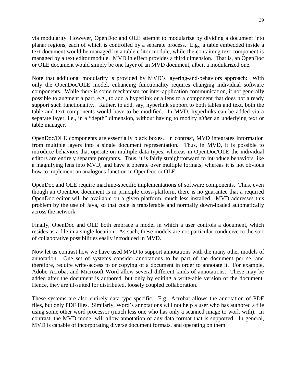via modularity. However, OpenDoc and OLE attempt to modularize by dividing a document into planar regions, each of which is controlled by a separate process. E.g., a table embedded inside a text document would be managed by a table editor module, while the containing text component is managed by a text editor module. MVD in effect provides a third dimension. That is, an OpenDoc or OLE document would simply be one layer of an MVD document, albeit a modularized one.

Note that additional modularity is provided by MVD's layering-and-behaviors approach: With only the OpenDoc/OLE model, enhancing functionality requires changing individual software components. While there is some mechanism for inter-application communication, it not generally possible to augment a part, e.g., to add a hyperlink or a lens to a component that does not already support such functionality.. Rather, to add, say, hyperlink support to both tables and text, both the table and text components would have to be modified. In MVD, hyperlinks can be added via a separate layer, i.e., in a "depth" dimension, without having to modify *either* an underlying text or table manager.

OpenDoc/OLE components are essentially black boxes. In contrast, MVD integrates information from multiple layers into a single document representation. Thus, in MVD, it is possible to introduce behaviors that operate on multiple data types, whereas in OpenDoc/OLE the individual editors are entirely separate programs. Thus, it is fairly straightforward to introduce behaviors like a magnifying lens into MVD, and have it operate over multiple formats, whereas it is not obvious how to implement an analogous function in OpenDoc or OLE.

OpenDoc and OLE require machine-specific implementations of software components. Thus, even though an OpenDoc document is in principle cross-platform, there is no guarantee that a required OpenDoc editor will be available on a given platform, much less installed. MVD addresses this problem by the use of Java, so that code is transferable and normally down-loaded automatically across the network.

Finally, OpenDoc and OLE both embrace a model in which a user controls a document, which resides as a file in a single location. As such, these models are not particular conducive to the sort of collaborative possibilities easily introduced in MVD.

Now let us contrast how we have used MVD to support annotations with the many other models of annotation. One set of systems consider annotations to be part of the document per se, and therefore, require write-access to or copying of a document in order to annotate it. For example, Adobe Acrobat and Microsoft Word allow several different kinds of annotations. These may be added after the document is authored, but only by editing a write-able version of the document. Hence, they are ill-suited for distributed, loosely coupled collaboration.

These systems are also entirely data-type specific. E.g., Acrobat allows the annotation of PDF files, but only PDF files. Similarly, Word's annotations will not help a user who has authored a file using some other word processor (much less one who has only a scanned image to work with). In contrast, the MVD model will allow annotation of any data format that is supported. In general, MVD is capable of incorporating diverse document formats, and operating on them.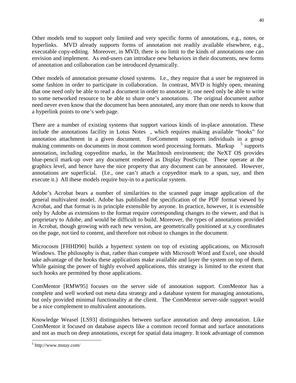Other models tend to support only limited and very specific forms of annotations, e.g., notes, or hyperlinks. MVD already supports forms of annotation not readily available elsewhere, e.g., executable copy-editing. Moreover, in MVD, there is no limit to the kinds of annotations one can envision and implement. As end-users can introduce new behaviors in their documents, new forms of annotation and collaboration can be introduced dynamically.

Other models of annotation presume closed systems. I.e., they require that a user be registered in some fashion in order to participate in collaboration. In contrast, MVD is highly open, meaning that one need only be able to read a document in order to annotate it; one need only be able to write to some networked resource to be able to share one's annotations. The original document author need never even know that the document has been annotated, any more than one needs to know that a hyperlink points to one's web page.

There are a number of existing systems that support various kinds of in-place annotation. These include the annotations facility in Lotus Notes<sup> $TM$ </sup>, which requires making available "hooks" for annotation attachment in a given document. For Comment  $\text{TM}$  supports individuals in a group making comments on documents in most common word processing formats. Markup<sup>TM 5</sup> supports annotation, including copyeditor marks, in the MacIntosh environment; the NeXT OS provides blue-pencil mark-up over any document rendered as Display PostScript. These operate at the graphics level, and hence have the nice property that any document can be annotated. However, annotations are superficial. (I.e., one can't attach a copyeditor mark to a span, say, and then execute it.) All these models require buy-in to a particular system.

Adobe's Acrobat bears a number of similarities to the scanned page image application of the general multivalent model. Adobe has published the specification of the PDF format viewed by Acrobat, and that format is in principle extensible by anyone. In practice, however, it is extensible only by Adobe as extensions to the format require corresponding changes to the viewer, and that is proprietary to Adobe, and would be difficult to build. Moreover, the types of annotations provided in Acrobat, though growing with each new version, are geometrically positioned at x,y coordinates on the page, not tied to content, and therefore not robust to changes in the document.

Microcosm [FHHD90] builds a hypertext system on top of existing applications, on Microsoft Windows. The philosophy is that, rather than compete with Microsoft Word and Excel, one should take advantage of the hooks these applications make available and layer the system on top of them. While gaining the power of highly evolved applications, this strategy is limited to the extent that such hooks are permitted by those applications.

ComMentor [RMW95] focuses on the server side of annotation support. ComMentor has a complete and well worked out meta data strategy and a database system for managing annotations, but only provided minimal functionality at the client. The ComMentor server-side support would be a nice complement to multivalent annotations.

Knowledge Weasel [LS93] distinguishes between surface annotation and deep annotation. Like ComMentor it focused on database aspects like a common record format and surface annotations and not as much on deep annotations, except for spatial data imagery. It took advantage of common

 $\overline{a}$ 

<sup>5</sup> http://www.mstay.com/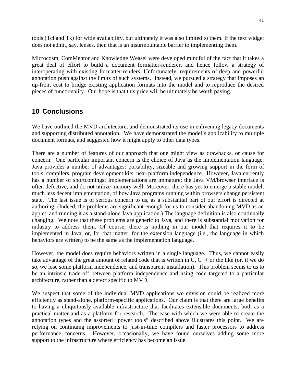tools (Tcl and Tk) for wide availability, but ultimately it was also limited to them. If the text widget does not admit, say, lenses, then that is an insurmountable barrier to implementing them.

Microcosm, ComMentor and Knowledge Weasel were developed mindful of the fact that it takes a great deal of effort to build a document formatter-renderer, and hence follow a strategy of interoperating with existing formatter-renders. Unfortunately, requirements of deep and powerful annotation push against the limits of such systems. Instead, we pursued a strategy that imposes an up-front cost to bridge existing application formats into the model and to reproduce the desired pieces of functionality. Our hope is that this price will be ultimately be worth paying.

# **10 Conclusions**

We have outlined the MVD architecture, and demonstrated its use in enlivening legacy documents and supporting distributed annotation. We have demonstrated the model's applicability to multiple document formats, and suggested how it might apply to other data types.

There are a number of features of our approach that one might view as drawbacks, or cause for concern. One particular important concern is the choice of Java as the implementation language. Java provides a number of advantages: portability, sizeable and growing support in the form of tools, compilers, program development kits, near-platform independence. However, Java currently has a number of shortcomings: Implementations are immature; the Java VM/browser interface is often defective, and do not utilize memory well. Moreover, there has yet to emerge a stable model, much less decent implementation, of how Java programs running within browsers change persistent state. The last issue is of serious concern to us, as a substantial part of our effort is directed at authoring. (Indeed, the problems are significant enough for us to consider abandoning MVD as an applet, and running it as a stand-alone Java application.) The language definition is also continually changing. We note that these problems are generic to Java, and there is substantial motivation for industry to address them. Of course, there is nothing in our model that requires it to be implemented in Java, or, for that matter, for the extension language (i.e., the language in which behaviors are written) to be the same as the implementation language.

However, the model does require behaviors written in a single language. Thus, we cannot easily take advantage of the great amount of related code that is written in C, C++ or the like (or, if we do so, we lose some platform independence, and transparent installation). This problem seems to us to be an intrinsic trade-off between platform independence and using code targeted to a particular architecture, rather than a defect specific to MVD.

We suspect that some of the individual MVD applications we envision could be realized more efficiently as stand-alone, platform-specific applications. Our claim is that there are large benefits to having a ubiquitously available infrastructure that facilitates extensible documents, both as a practical matter and as a platform for research. The ease with which we were able to create the annotation types and the assorted "power tools" described above illustrates this point. We are relying on continuing improvements to just-in-time compilers and faster processors to address performance concerns. However, occasionally, we have found ourselves adding some more support to the infrastructure where efficiency has become an issue.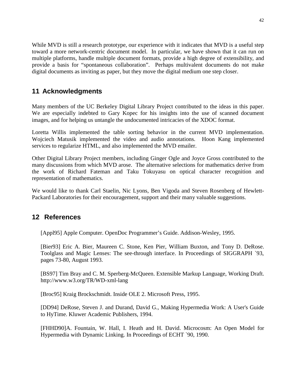While MVD is still a research prototype, our experience with it indicates that MVD is a useful step toward a more network-centric document model. In particular, we have shown that it can run on multiple platforms, handle multiple document formats, provide a high degree of extensibility, and provide a basis for "spontaneous collaboration". Perhaps multivalent documents do not make digital documents as inviting as paper, but they move the digital medium one step closer.

# **11 Acknowledgments**

Many members of the UC Berkeley Digital Library Project contributed to the ideas in this paper. We are especially indebted to Gary Kopec for his insights into the use of scanned document images, and for helping us untangle the undocumented intricacies of the XDOC format.

Loretta Willis implemented the table sorting behavior in the current MVD implementation. Wojciech Matusik implemented the video and audio annotations. Hoon Kang implemented services to regularize HTML, and also implemented the MVD emailer.

Other Digital Library Project members, including Ginger Ogle and Joyce Gross contributed to the many discussions from which MVD arose. The alternative selections for mathematics derive from the work of Richard Fateman and Taku Tokuyasu on optical character recognition and representation of mathematics.

We would like to thank Carl Staelin, Nic Lyons, Ben Vigoda and Steven Rosenberg of Hewlett-Packard Laboratories for their encouragement, support and their many valuable suggestions.

# **12 References**

[Appl95] Apple Computer. OpenDoc Programmer's Guide. Addison-Wesley, 1995.

[Bier93] Eric A. Bier, Maureen C. Stone, Ken Pier, William Buxton, and Tony D. DeRose. Toolglass and Magic Lenses: The see-through interface. In Proceedings of SIGGRAPH `93, pages 73-80, August 1993.

[BS97] Tim Bray and C. M. Sperberg-McQueen. Extensible Markup Language, Working Draft. http://www.w3.org/TR/WD-xml-lang

[Broc95] Kraig Brockschmidt. Inside OLE 2. Microsoft Press, 1995.

[DD94] DeRose, Steven J. and Durand, David G., Making Hypermedia Work: A User's Guide to HyTime. Kluwer Academic Publishers, 1994.

[FHHD90]A. Fountain, W. Hall, I. Heath and H. David. Microcosm: An Open Model for Hypermedia with Dynamic Linking. In Proceedings of ECHT `90, 1990.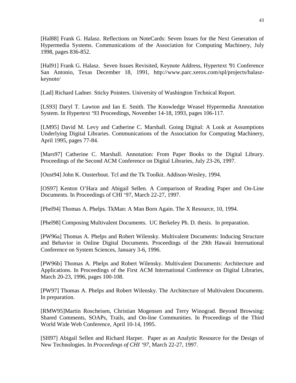[Hal88] Frank G. Halasz. Reflections on NoteCards: Seven Issues for the Next Generation of Hypermedia Systems. Communications of the Association for Computing Machinery, July 1998, pages 836-852.

[Hal91] Frank G. Halasz. Seven Issues Revisited, Keynote Address, Hypertext '91 Conference San Antonio, Texas December 18, 1991, http://www.parc.xerox.com/spl/projects/halaszkeynote/

[Lad] Richard Ladner. Sticky Pointers. University of Washington Technical Report.

[LS93] Daryl T. Lawton and Ian E. Smith. The Knowledge Weasel Hypermedia Annotation System. In Hypertext '93 Proceedings, November 14-18, 1993, pages 106-117.

[LM95] David M. Levy and Catherine C. Marshall. Going Digital: A Look at Assumptions Underlying Digital Libraries. Communications of the Association for Computing Machinery, April 1995, pages 77-84.

[Mars97] Catherine C. Marshall. Annotation: From Paper Books to the Digital Library. Proceedings of the Second ACM Conference on Digital Libraries, July 23-26, 1997.

[Oust94] John K. Ousterhout. Tcl and the Tk Toolkit. Addison-Wesley, 1994.

[OS97] Kenton O'Hara and Abigail Sellen. A Comparison of Reading Paper and On-Line Documents. In Proceedings of CHI '97, March 22-27, 1997.

[Phel94] Thomas A. Phelps. TkMan: A Man Born Again. The X Resource, 10, 1994.

[Phel98] Composing Multivalent Documents. UC Berkeley Ph. D. thesis. In preparation.

[PW96a] Thomas A. Phelps and Robert Wilensky. Multivalent Documents: Inducing Structure and Behavior in Online Digital Documents. Proceedings of the 29th Hawaii International Conference on System Sciences, January 3-6, 1996.

[PW96b] Thomas A. Phelps and Robert Wilensky. Multivalent Documents: Architecture and Applications. In Proceedings of the First ACM International Conference on Digital Libraries, March 20-23, 1996, pages 100-108.

[PW97] Thomas A. Phelps and Robert Wilensky. The Architecture of Multivalent Documents. In preparation.

[RMW95]Martin Roscheisen, Christian Mogensen and Terry Winograd. Beyond Browsing: Shared Comments, SOAPs, Trails, and On-line Communities. In Proceedings of the Third World Wide Web Conference, April 10-14, 1995.

[SH97] Abigail Sellen and Richard Harper. Paper as an Analytic Resource for the Design of New Technologies. In *Proceedings of CHI '97*, March 22-27, 1997.